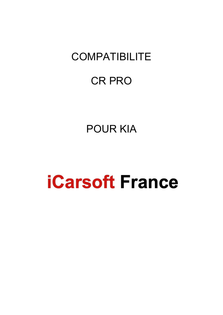# **COMPATIBILITE**

# CR PRO

# POUR KIA

# **iCarsoft France**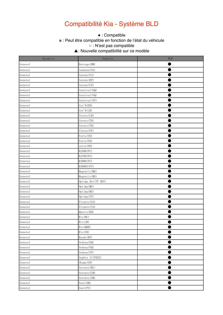## Compatibilité Kia - Système BLD

#### ● This function is supported. ※ : Peut être compatible en fonction de l'état du véhicule  $\bullet$  : Compatible

※ This function may be supported, which depends on the actual condition of the vehicle. ○ : N'est pas compatible

▲: Nouvelle compatibilité sur ce modèle  $\mathcal{L}$ 

| Disdrict | Vehicle             | BLD |
|----------|---------------------|-----|
| General  | Borrego (HM)        |     |
| General  | Cadenza (VG)        |     |
| General  | Carens (FJ)         |     |
| General  | Carens (RP)         |     |
| General  | Carens (UN)         |     |
| General  | Carnival (GQ)       |     |
| General  | Carnival (VQ)       |     |
| General  | Carnival (YP)       |     |
| General  | Cee'D(ED)           |     |
| General  | Cee'D(JD)           |     |
| General  | Cerato (LD)         |     |
| General  | Cerato (TD)         |     |
| General  | Cerato (YD)         |     |
| General  | Clarus (FE)         |     |
| General  | Forte (TD)          |     |
| General  | Forte (YD)          |     |
| General  | Joice (NO)          |     |
| General  | K2500 (PU)          |     |
| General  | K2700 (PU)          |     |
| General  | K3000 (PU)          |     |
| General  | K3000S (PU)         |     |
| General  | Magentis (MG)       |     |
| General  | Magentis (MS)       |     |
| General  | Optima Hev (TF HEV) |     |
| General  | Optima (MG)         |     |
| General  | Optima (MS)         |     |
| General  | 0ptima(TF)          |     |
| General  | Picanto (SA)        |     |
| General  | Picanto (TA)        |     |
| General  | Quoris (KH)         |     |
| General  | Rio (BC)            |     |
| General  | Rio(JB)             |     |
| General  | Rio (QBR)           |     |
| General  | Rio (UB)            |     |
| General  | Rondo (RP)          |     |
| General  | Sedona (GQ)         |     |
| General  | Sedona (VQ)         |     |
| General  | Sedona (YP)         |     |
| General  | Sephia II (FB22)    |     |
| General  | Shuma (SD)          |     |
| General  | Sorento (BL)        |     |
| General  | Sorento (UM)        |     |
| General  | Sorento (XM)        |     |
| General  | Soul (AM)           |     |
| General  | Soul (PS)           |     |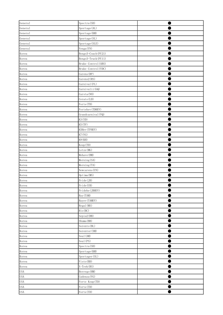| General                  | Spectra(SD)                  |  |
|--------------------------|------------------------------|--|
| General                  | Sportage (AL)                |  |
| General                  | Sportage (KM)                |  |
| General                  | Sportage (SL)                |  |
| General                  | Sportage (SLE)               |  |
| General                  | Venga(YN)                    |  |
| Korea                    | Bongo3-Coach (PU21)          |  |
| Korea                    | Bongo3-Truck (PU11)          |  |
| Korea                    | Brake Control (ABS)          |  |
| Korea                    | Brake Control (VDC)          |  |
| Korea                    | Carens (RP)                  |  |
| Korea                    | Carens2(RS)                  |  |
| Korea                    | Carnival (FL)                |  |
| Korea                    | Carnivalii (GQ)              |  |
| Korea                    | Carsta (NO)                  |  |
| Korea                    | Cerato (LD)                  |  |
| Korea                    | Forte (TD)                   |  |
| Korea                    | Fortehev (TDHEV)             |  |
| Korea                    | Grandcarnival (VQ)           |  |
| Korea                    | K3 (YD)                      |  |
| Korea                    | K5(TF)                       |  |
| Korea                    | K5Hev (TFHEV)                |  |
| Korea                    | K7 (VG)                      |  |
| Korea                    | K9 (KH)                      |  |
| Korea                    | Koup (TD)                    |  |
| Korea                    | Lotze (MG)                   |  |
| Korea                    | Mohave (HM)                  |  |
| Korea                    | Morning (SA)                 |  |
| Korea                    | Morning (TA)                 |  |
| Korea                    | Newcarens (UN)               |  |
| Korea                    | Optima (MS)                  |  |
| Korea                    | Pride(JB)                    |  |
| Korea                    | Pride (UB)                   |  |
| Korea                    | Pridehe (JBHEV)              |  |
| Korea                    | Ray (TAM)                    |  |
| Korea                    | Rayev (TAMEV)                |  |
| Korea                    | Regal (MS)                   |  |
| Korea                    | Rio (BC)                     |  |
| Korea                    | Sepia2(BB)                   |  |
| Korea                    | Shuma (BB)                   |  |
| Korea                    | Sorento (BL)                 |  |
| Korea                    | Sorentor (XM)                |  |
| Korea                    | Soul (AM)                    |  |
| Korea                    | Soul (PS)                    |  |
| Korea                    | Spectra(SD)                  |  |
| Korea                    | Sportage (KM)                |  |
| Korea                    | Sportager (SL)<br>Visto (BD) |  |
| Korea                    |                              |  |
| Korea                    | X-Trek (RS)                  |  |
| <b>USA</b><br><b>USA</b> | Borrego (HM)<br>Cadenza (VG) |  |
| <b>USA</b>               | Forte Koup (TD)              |  |
| <b>USA</b>               | Forte (TD)                   |  |
| <b>USA</b>               | Forte (YD)                   |  |
|                          |                              |  |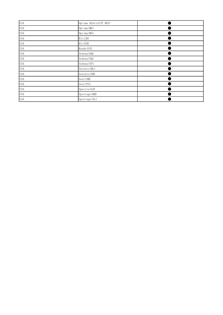| <b>USA</b> | Optima Hybrid (TF HEV) |  |
|------------|------------------------|--|
| <b>USA</b> | Optima (MG)            |  |
| <b>USA</b> | Optima (MS)            |  |
| <b>USA</b> | Rio(JB)                |  |
| <b>USA</b> | Rio (UB)               |  |
| <b>USA</b> | Rondo (UN)             |  |
| <b>USA</b> | Sedona (GQ)            |  |
| <b>USA</b> | Sedona (VQ)            |  |
| <b>USA</b> | Sedona (YP)            |  |
| <b>USA</b> | Sorento (BL)           |  |
| <b>USA</b> | Sorento (XM)           |  |
| <b>USA</b> | Soul (AM)              |  |
| <b>USA</b> | Soul (PS)              |  |
| <b>USA</b> | Spectra(LD)            |  |
| <b>USA</b> | Sportage (KM)          |  |
| <b>USA</b> | Sportage (SL)          |  |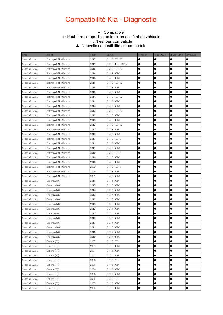#### KIA\_V01.10 Daig Function List(Note:For reference only) Compatibilité Kia - Diagnostic

#### Compatible : ● : Compatible<br>Peut être compatible en fonction نع ○ : N'est pas compatible. ※ : Peut être compatible en fonction de l'état du véhicule ▲: Nouvelle compatibilité sur ce modèle

| Area         | Model                 | Year | Engine           | Version   | Read DTCs | Erase DTCs | LiveData  |
|--------------|-----------------------|------|------------------|-----------|-----------|------------|-----------|
| General Area | Borrego(HM)/Mohave    | 2017 | D 3.0 TCI-S2     |           | $\bullet$ | $\bullet$  | $\bullet$ |
| General Area | Borrego(HM)/Mohave    | 2017 | G 3.8 MPI LAMBDA |           | 0         | $\bullet$  | 0         |
| General Area | Borrego (HM) / Mohave | 2016 | D 3.0 TCI-S2     | $\bullet$ | $\bullet$ | $\bullet$  | $\bullet$ |
| General Area | Borrego (HM) /Mohave  | 2016 | G 3.8 DOHC       | $\bullet$ | $\bullet$ | $\bullet$  | $\bullet$ |
| General Area | Borrego (HM) /Mohave  | 2016 | G 4.6 DOHC       | $\bullet$ | 0         | $\bullet$  | $\bullet$ |
| General Area | Borrego (HM) /Mohave  | 2015 | D 3.0 TCI-S2     | $\bullet$ | 0         | $\bullet$  | $\bullet$ |
| General Area | Borrego (HM) /Mohave  | 2015 | G 3.8 DOHC       | $\bullet$ | 0         | $\bullet$  | $\bullet$ |
| General Area | Borrego (HM) / Mohave | 2015 | G 4.6 DOHC       | $\bullet$ | 0         | $\bullet$  | 0         |
| General Area | Borrego (HM) /Mohave  | 2014 | D 3.0 TCI-S2     | $\bullet$ | 0         | $\bullet$  | $\bullet$ |
| General Area | Borrego(HM)/Mohave    | 2014 | G 3.8 DOHC       | $\bullet$ | $\bullet$ | $\bullet$  | $\bullet$ |
| General Area | Borrego (HM) / Mohave | 2014 | G 4.6 DOHC       | $\bullet$ | 0         | $\bullet$  | $\bullet$ |
| General Area | Borrego (HM) /Mohave  | 2013 | D 3.0 TCI-S2     | 0         | 0         |            |           |
| General Area | Borrego (HM) /Mohave  | 2013 | G 3.8 DOHC       | $\bullet$ | $\bullet$ |            |           |
| General Area | Borrego(HM)/Mohave    | 2013 | G 4.6 DOHC       | $\bullet$ | 0         | $\bullet$  | ●         |
| General Area | Borrego (HM) /Mohave  | 2012 | D 3.0 TCI-S2     | ●         | $\bullet$ | $\bullet$  |           |
| General Area | Borrego (HM) /Mohave  | 2012 | G 3.8 DOHC       | $\bullet$ | $\bullet$ | $\bullet$  | $\bullet$ |
| General Area | Borrego (HM) /Mohave  | 2012 | G 4.6 DOHC       | $\bullet$ | $\bullet$ | $\bullet$  | $\bullet$ |
| General Area | Borrego (HM) / Mohave | 2011 | D 3.0 TCI-S      | ●         | 0         | $\bullet$  | $\bullet$ |
| General Area | Borrego (HM) /Mohave  | 2011 | G 3.8 DOHC       | $\bullet$ | 0         | $\bullet$  |           |
| General Area | Borrego (HM) /Mohave  | 2011 | G 4.6 DOHC       | $\bullet$ | 0         | $\bullet$  | $\bullet$ |
| General Area | Borrego (HM) / Mohave | 2010 | D 3.0 TCI-S      | $\bullet$ | e         | $\bullet$  | 0         |
| General Area | Borrego (HM) / Mohave | 2010 | G 3.8 DOHC       | $\bullet$ | 0         | $\bullet$  | 0         |
| General Area | Borrego (HM) / Mohave | 2010 | G 4.6 DOHC       | $\bullet$ | 0         | $\bullet$  | $\bullet$ |
| General Area | Borrego (HM) / Mohave | 2009 | D 3.0 TCI-S      | $\bullet$ | 0         | $\bullet$  |           |
| General Area | Borrego (HM) / Mohave | 2009 | G 3.8 DOHC       | $\bullet$ | 0         |            |           |
| General Area | Borrego(HM)/Mohave    | 2009 | G 4.6 DOHC       | $\bullet$ | 0         |            | 0         |
| General Area | Cadenza (VG)          | 2016 | G 3.5 DOHC       | $\bullet$ | e         |            | ●         |
| General Area | Cadenza (VG)          | 2015 | G 3.5 DOHC       | $\bullet$ | $\bullet$ | $\bullet$  |           |
| General Area | Cadenza (VG)          | 2014 | G 3.5 DOHC       | $\bullet$ | $\bullet$ | $\bullet$  | $\bullet$ |
| General Area | Cadenza (VG)          | 2013 | G 2.4 DOHC       | $\bullet$ | O         | 0          |           |
| General Area | Cadenza (VG)          | 2013 | G 3.0 DOHC       | $\bullet$ | e         | $\bullet$  | $\bullet$ |
| General Area | Cadenza (VG)          | 2013 | G 3.5 DOHC       | $\bullet$ | $\bullet$ | $\bullet$  | $\bullet$ |
| General Area | Cadenza (VG)          | 2012 | G 2.4 DOHC       | $\bullet$ | e         | $\bullet$  | 0         |
| General Area | Cadenza (VG)          | 2012 | G 3.0 DOHC       | 0         | 0         | $\bullet$  |           |
| General Area | Cadenza (VG)          | 2012 | G 3.5 DOHC       |           |           | 0          |           |
| General Area | Cadenza (VG)          | 2011 | G 2.4 DOHC       | $\bullet$ | $\bullet$ | $\bullet$  | $\bullet$ |
| General Area | Cadenza (VG)          | 2011 | G 3.5 DOHC       |           | 0         |            |           |
| General Area | Cadenza (VG)          | 2010 | G 2.4 DOHC       |           | ●         |            |           |
| General Area | Cadenza (VG)          | 2010 | G 3.5 DOHC       | $\bullet$ | ●         | $\bullet$  |           |
| General Area | Carens (FJ)           | 2007 | D 2.0 TCI        |           |           | $\bullet$  |           |
| General Area | Carens (FJ)           | 2007 | G 1.6 DOHC       | $\bullet$ | $\bullet$ | $\bullet$  | $\bullet$ |
| General Area | Carens (FJ)           | 2007 | G 1.8 DOHC       | $\bullet$ | $\bullet$ |            |           |
| General Area | Carens (FJ)           | 2007 | G 2.0 DOHC       | $\bullet$ | $\bullet$ |            |           |
| General Area | Carens (FJ)           | 2006 | D 2.0 TCI        | $\bullet$ |           |            |           |
| General Area | Carens (FJ)           | 2006 | G 1.6 DOHC       | $\bullet$ |           | $\bullet$  |           |
| General Area | Carens (FJ)           | 2006 | G 1.8 DOHC       | $\bullet$ | 0         | $\bullet$  |           |
| General Area | Carens (FJ)           | 2006 | G 2.0 DOHC       | $\bullet$ | $\bullet$ | $\bullet$  | $\bullet$ |
| General Area | Carens (FJ)           | 2005 | D 2.0 TCI        | $\bullet$ | $\bullet$ | $\bullet$  |           |
| General Area | Carens (FJ)           | 2005 | G 1.6 DOHC       |           |           | $\bullet$  |           |
| General Area | Carens (FJ)           | 2005 | G 1.8 DOHC       | $\bullet$ | $\bullet$ | $\bullet$  | $\bullet$ |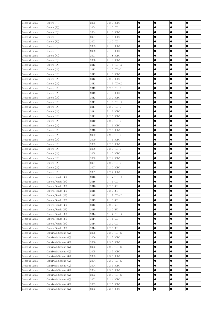| General Area | Carens (FJ)          | 2005 | G 2.0 DOHC   | $\bullet$ | $\bullet$ | $\bullet$ | $\bullet$ |
|--------------|----------------------|------|--------------|-----------|-----------|-----------|-----------|
| General Area | Carens (FJ)          | 2004 | D 2.0 TCI    |           |           |           | 0         |
| General Area | Carens (FJ)          | 2004 | G 1.6 DOHC   |           |           | ●         | ●         |
| General Area | Carens (FJ)          | 2004 | G 1.8 DOHC   |           |           | ●         | 0         |
| General Area | Carens (FJ)          | 2003 | D 2.0 TCI    |           |           |           |           |
| General Area | Carens (FJ)          | 2003 | G 1.8 DOHC   |           | $\bullet$ | 0         | $\bullet$ |
| General Area | Carens (FJ)          | 2002 | G 1.8 DOHC   | $\bullet$ | $\bullet$ |           | $\bullet$ |
| General Area | Carens (FJ)          | 2001 | G 1.8 DOHC   | $\bullet$ | $\bullet$ | 0         |           |
| General Area | Carens (FJ)          | 2000 | G 1.8 DOHC   |           | $\bullet$ | 0         |           |
| General Area | Carens (UN)          | 2013 | D 1.6 TCI-U2 |           |           | 0         | 0         |
| General Area | Carens (UN)          | 2013 | D 2.0 TCI-D  |           |           | 0         |           |
| General Area | Carens (UN)          | 2013 | G 1.6 DOHC   |           | $\bullet$ |           | $\bullet$ |
| General Area | Carens (UN)          | 2013 | G 2.0 DOHC   | $\bullet$ | $\bullet$ | 0         |           |
| General Area | Carens (UN)          | 2012 | D 1.6 TCI-U2 | $\bullet$ | $\bullet$ | 0         |           |
| General Area | Carens (UN)          | 2012 | D 2.0 TCI-D  |           | $\bullet$ | ●         |           |
| General Area | Carens (UN)          | 2012 | G 1.6 DOHC   |           |           | 0         | ●         |
| General Area | Carens (UN)          | 2012 | G 2.0 DOHC   |           |           | 0         |           |
| General Area | Carens (UN)          | 2011 | D 1.6 TCI-U2 |           | $\bullet$ | $\bullet$ | $\bullet$ |
| General Area | Carens (UN)          | 2011 | D 2.0 TCI-D  | $\bullet$ | $\bullet$ | $\bullet$ | $\bullet$ |
| General Area | Carens (UN)          | 2011 | G 1.6 DOHC   | $\bullet$ | $\bullet$ | $\bullet$ | $\bullet$ |
| General Area | Carens (UN)          | 2011 | G 2.0 DOHC   | $\bullet$ | $\bullet$ | $\bullet$ |           |
| General Area | Carens (UN)          | 2010 | D 2.0 TCI-D  |           | $\bullet$ | $\bullet$ |           |
| General Area | Carens (UN)          | 2010 | G 1.6 DOHC   |           |           | 0         | 0         |
| General Area | Carens (UN)          | 2010 | G 2.0 DOHC   |           |           | $\bullet$ | $\bullet$ |
| General Area | Carens (UN)          | 2009 | D 2.0 TCI-D  | $\bullet$ | $\bullet$ | 0         | $\bullet$ |
| General Area | Carens (UN)          | 2009 | G 1.6 DOHC   | $\bullet$ | $\bullet$ | $\bullet$ |           |
| General Area | Carens (UN)          | 2009 | G 2.0 DOHC   |           |           | 0         |           |
| General Area | Carens (UN)          | 2008 | D 2.0 TCI-D  |           | $\bullet$ | ●         |           |
| General Area | Carens (UN)          | 2008 | G 2.0 DOHC   |           |           | ●         | 0         |
| General Area | Carens (UN)          | 2008 | G 2.4 DOHC   |           |           | Œ         |           |
| General Area | Carens (UN)          | 2007 | D 2.0 TCI-D  | $\bullet$ | $\bullet$ |           | $\bullet$ |
| General Area | Carens (UN)          | 2007 | G 2.0 DOHC   | $\bullet$ | $\bullet$ | $\bullet$ | $\bullet$ |
| General Area | Carens (UN)          | 2007 | G 2.4 DOHC   |           | $\bullet$ | 0         | 0         |
| General Area | Carens/Rondo(RP)     | 2016 | D 1.7 TCI-U2 |           | $\bullet$ | 0         |           |
| General Area | Carens/Rondo(RP)     | 2016 | G 1.6 GDI    |           |           | ●         | 0         |
| General Area | Carens/Rondo(RP)     | 2016 | G 2.0 GDI    |           |           |           |           |
| General Area | Carens/Rondo(RP)     | 2016 | G 2.0 MPI    | $\bullet$ | $\bullet$ | $\bullet$ | $\bullet$ |
| General Area | Carens/Rondo(RP)     | 2015 | D 1.7 TCI-U2 | $\bullet$ | $\bullet$ | 0         | $\bullet$ |
| General Area | Carens/Rondo (RP)    | 2015 | $G_1.6$ GDI  | $\bullet$ | $\bullet$ | 0         |           |
| General Area | Carens/Rondo (RP)    | 2015 | G 2.0 GDI    |           | $\bullet$ |           | $\bullet$ |
| General Area | Carens/Rondo(RP)     | 2015 | G 2.0 MPI    |           | $\bullet$ | 0         |           |
| General Area | Carens/Rondo (RP)    | 2014 | D 1.7 TCI-U2 | $\bullet$ |           | $\bullet$ | $\bullet$ |
| General Area | Carens/Rondo (RP)    | 2014 | G 1.6 GDI    |           | $\bullet$ |           |           |
| General Area | Carens/Rondo (RP)    | 2014 | G 2.0 GDI    | $\bullet$ | $\bullet$ | 0         | $\bullet$ |
| General Area | Carens/Rondo(RP)     | 2014 | G 2.0 MPI    | $\bullet$ | $\bullet$ | $\bullet$ | $\bullet$ |
| General Area | Carnival/Sedona (GQ) | 2006 | D 2.9 TCI-J3 | $\bullet$ | $\bullet$ | e         |           |
| General Area | Carnival/Sedona(GQ)  | 2006 | G 2.5 DOHC   |           |           | 0         |           |
| General Area | Carnival/Sedona(GQ)  | 2006 | G 3.5 DOHC   |           |           | $\bullet$ |           |
| General Area | Carnival/Sedona(GQ)  | 2005 | D 2.9 TCI-J3 |           |           | 0         |           |
| General Area | Carnival/Sedona (GQ) | 2005 | G 2.5 DOHC   | $\bullet$ | $\bullet$ | $\bullet$ | $\bullet$ |
| General Area | Carnival/Sedona (GQ) | 2005 | G 3.5 DOHC   | $\bullet$ | $\bullet$ |           | $\bullet$ |
| General Area | Carnival/Sedona(GQ)  | 2004 | D 2.9 TCI-J3 | $\bullet$ | $\bullet$ | 0         |           |
| General Area | Carnival/Sedona(GQ)  | 2004 | G 2.5 DOHC   |           | $\bullet$ |           | $\bullet$ |
| General Area | Carnival/Sedona (GQ) | 2004 | G 3.5 DOHC   |           |           | ●         | $\bullet$ |
| General Area | Carnival/Sedona (GQ) | 2003 | D 2.9 TCI-J3 |           |           | ●         |           |
| General Area | Carnival/Sedona (GQ) | 2003 | G 2.4 DOHC   |           | $\bullet$ |           | $\bullet$ |
| General Area | Carnival/Sedona(GQ)  | 2003 | G 2.5 DOHC   | $\bullet$ | $\bullet$ | $\bullet$ | $\bullet$ |
| General Area | Carnival/Sedona (GQ) | 2003 | G 3.5 DOHC   | $\bullet$ | $\bullet$ | $\bullet$ | $\bullet$ |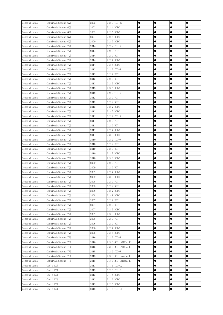| General Area | Carnival/Sedona(GQ)  | 2002 | D 2.9 TCI-J3        | $\bullet$ | $\bullet$ | $\bullet$ |           |
|--------------|----------------------|------|---------------------|-----------|-----------|-----------|-----------|
| General Area | Carnival/Sedona(GQ)  | 2002 | G 2.4 DOHC          |           | 0         |           |           |
| General Area | Carnival/Sedona(GQ)  | 2002 | G 2.5 DOHC          |           |           | 0         | 0         |
| General Area | Carnival/Sedona(GQ)  | 2001 | G 2.5 DOHC          |           |           | 0         |           |
| General Area | Carnival/Sedona (GQ) | 2000 | G 2.5 DOHC          |           | $\bullet$ | 0         | $\bullet$ |
| General Area | Carnival/Sedona(VQ)  | 2014 | D 2.2 TCI-R         | $\bullet$ | $\bullet$ | 0         | $\bullet$ |
| General Area | Carnival/Sedona(VQ)  | 2014 | D 2.9 VGT           |           | $\bullet$ | 0         | 0         |
| General Area | Carnival/Sedona(VQ)  | 2014 | D 2.9 WGT           |           |           | 0         | 0         |
| General Area | Carnival/Sedona(VQ)  | 2014 | G 2.7 DOHC          |           |           | 0         |           |
| General Area | Carnival/Sedona(VQ)  | 2014 | G 3.5 DOHC          | ●         | e         | 0         | 0         |
| General Area | Carnival/Sedona(VQ)  | 2013 | D 2.2 TCI-R         |           | $\bullet$ | 0         |           |
| General Area | Carnival/Sedona(VQ)  | 2013 | D 2.9 VGT           |           | $\bullet$ | 0         |           |
| General Area | Carnival/Sedona(VQ)  | 2013 | D 2.9 WGT           | $\bullet$ | $\bullet$ | 0         |           |
| General Area | Carnival/Sedona(VQ)  | 2013 | G 2.7 DOHC          |           |           | 0         | 0         |
| General Area | Carnival/Sedona(VQ)  | 2013 | G 3.5 DOHC          | 0         |           |           |           |
| General Area | Carnival/Sedona(VQ)  | 2012 | D 2.2 TCI-R         |           |           | 0         | 0         |
| General Area | Carnival/Sedona(VQ)  | 2012 | D 2.9 VGT           |           |           |           |           |
| General Area | Carnival/Sedona(VQ)  | 2012 | D 2.9 WGT           | $\bullet$ | $\bullet$ | 0         | $\bullet$ |
| General Area | Carnival/Sedona (VQ) | 2012 | G 2.7 DOHC          | $\bullet$ | $\bullet$ | 0         | $\bullet$ |
| General Area | Carnival/Sedona(VQ)  | 2012 | G 3.5 DOHC          |           |           | 0         | 0         |
| General Area | Carnival/Sedona(VQ)  | 2011 | D 2.2 TCI-R         | 0         |           | 0         |           |
| General Area | Carnival/Sedona(VQ)  | 2011 | D 2.9 VGT           |           |           | 0         |           |
| General Area | Carnival/Sedona(VQ)  | 2011 | D 2.9 WGT           |           | c         | 0         | 0         |
| General Area | Carnival/Sedona(VQ)  | 2011 | G 2.7 DOHC          | $\bullet$ |           | 0         | $\bullet$ |
| General Area | Carnival/Sedona(VQ)  | 2011 | G 3.5 DOHC          | $\bullet$ | $\bullet$ | 0         |           |
| General Area | Carnival/Sedona(VQ)  | 2010 | D 2.2 TCI-R         |           |           | 0         | 0         |
| General Area | Carnival/Sedona(VQ)  | 2010 | D 2.9 VGT           |           |           | 0         | 0         |
| General Area | Carnival/Sedona(VQ)  | 2010 | D 2.9 WGT           |           |           | 0         | 0         |
| General Area | Carnival/Sedona(VQ)  | 2010 | G 2.7 DOHC          | e         |           | Œ         |           |
| General Area | Carnival/Sedona(VQ)  | 2010 | G 3.8 DOHC          |           |           |           |           |
| General Area | Carnival/Sedona(VQ)  | 2009 | D 2.9 VGT           | $\bullet$ | $\bullet$ | 0         | $\bullet$ |
| General Area | Carnival/Sedona(VQ)  | 2009 | D 2.9 WGT           |           | $\bullet$ | 0         | 0         |
| General Area | Carnival/Sedona(VQ)  | 2009 | G 2.7 DOHC          |           |           | 0         |           |
| General Area | Carnival/Sedona(VQ)  | 2009 | G 3.8 DOHC          |           |           | 0         |           |
| General Area | Carnival/Sedona(VQ)  | 2008 | D 2.9 VGT           |           | c         | e         | 0         |
| General Area | Carnival/Sedona (VQ) | 2008 | D 2.9 WGT           |           |           |           |           |
| General Area | Carnival/Sedona(VQ)  | 2008 | G 2.7 DOHC          | $\bullet$ | $\bullet$ | $\bullet$ | $\bullet$ |
| General Area | Carnival/Sedona(VQ)  | 2008 | G 3.8 DOHC          | $\bullet$ | $\bullet$ | 0         |           |
| General Area | Carnival/Sedona(VQ)  | 2007 | D 2.9 VGT           |           |           | o         |           |
| General Area | Carnival/Sedona(VQ)  | 2007 | D 2.9 WGT           |           |           | 0         | ●         |
| General Area | Carnival/Sedona(VQ)  | 2007 | G 2.7 DOHC          |           |           | ●         |           |
| General Area | Carnival/Sedona(VQ)  | 2007 | G 3.8 DOHC          |           |           |           |           |
| General Area | Carnival/Sedona (VQ) | 2006 | D 2.9 VGT           | $\bullet$ | $\bullet$ | 0         | $\bullet$ |
| General Area | Carnival/Sedona(VQ)  | 2006 | D 2.9 WGT           | $\bullet$ | $\bullet$ | $\bullet$ |           |
| General Area | Carnival/Sedona(VQ)  | 2006 | G 2.7 DOHC          | $\bullet$ | $\bullet$ | 0         | 0         |
| General Area | Carnival/Sedona(VQ)  | 2006 | G 3.8 DOHC          | $\bullet$ |           | 0         |           |
| General Area | Carnival/Sedona(YP)  | 2016 | D 2.2 TCI-R         |           |           | 0         | 0         |
| General Area | Carnival/Sedona(YP)  | 2016 | G 3.3 GDI LAMBDA II | $\bullet$ |           | 0         |           |
| General Area | Carnival/Sedona(YP)  | 2016 | G 3.3 MPI LAMBDA II | $\bullet$ | $\bullet$ | $\bullet$ | $\bullet$ |
| General Area | Carnival/Sedona(YP)  | 2015 | D 2.2 TCI-R         | $\bullet$ | $\bullet$ | $\bullet$ | $\bullet$ |
| General Area | Carnival/Sedona(YP)  | 2015 | G 3.3 GDI Lambda II | $\bullet$ | $\bullet$ | 0         |           |
| General Area | Carnival/Sedona(YP)  | 2015 | G 3.3 MPI Lambda II | $\bullet$ |           |           | ●         |
| General Area | Cee'd (ED)           | 2013 | D 1.6 TCI-U2        | $\bullet$ |           |           | ●         |
| General Area | Cee' d (ED)          | 2013 | D 2.0 TCI-D         | $\bullet$ | $\bullet$ | $\bullet$ |           |
| General Area | Cee' d (ED)          | 2013 | G 1.4 DOHC          |           | $\bullet$ | $\bullet$ | $\bullet$ |
| General Area | Cee' d (ED)          | 2013 | G 1.6 DOHC          | $\bullet$ | $\bullet$ | $\bullet$ | $\bullet$ |
| General Area | Cee' d (ED)          | 2013 | G 2.0 DOHC          | $\bullet$ | $\bullet$ | $\bullet$ | $\bullet$ |
| General Area | Cee' d (ED)          | 2012 | D 1.6 TCI-U2        | $\bullet$ | $\bullet$ | $\bullet$ | $\bullet$ |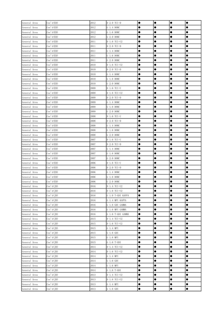| General Area | Cee' d (ED)  | 2012 | $D 2.0 TCI-D$     | $\bullet$ | $\bullet$ | $\bullet$ | $\bullet$ |
|--------------|--------------|------|-------------------|-----------|-----------|-----------|-----------|
| General Area | Cee'd (ED)   | 2012 | G 1.4 DOHC        |           |           | 0         |           |
| General Area | Cee'd (ED)   | 2012 | G 1.6 DOHC        |           |           | ●         |           |
| General Area | Cee' d (ED)  | 2012 | G 2.0 DOHC        |           |           |           |           |
| General Area | Cee' d (ED)  | 2011 | D 1.6 TCI-U2      | $\bullet$ | $\bullet$ |           | $\bullet$ |
| General Area | Cee' d (ED)  | 2011 | D 2.0 TCI-D       | $\bullet$ | $\bullet$ | $\bullet$ | $\bullet$ |
| General Area | Cee' d (ED)  | 2011 | G 1.4 DOHC        | $\bullet$ | $\bullet$ |           |           |
| General Area | Cee' d (ED)  | 2011 | G 1.6 DOHC        | $\bullet$ | $\bullet$ |           |           |
| General Area | Cee' d (ED)  | 2011 | G 2.0 DOHC        | $\bullet$ | $\bullet$ | $\bullet$ | $\bullet$ |
| General Area | Cee' d (ED)  | 2010 | D 1.6 TCI-U2      |           | $\bullet$ |           | $\bullet$ |
| General Area | Cee' d (ED)  | 2010 | D 2.0 TCI-D       |           | $\bullet$ |           | $\bullet$ |
| General Area | Cee' d (ED)  | 2010 | G 1.4 DOHC        | $\bullet$ | $\bullet$ | $\bullet$ | $\bullet$ |
| General Area | Cee' d (ED)  | 2010 | G 1.6 DOHC        | $\bullet$ | $\bullet$ | $\bullet$ | $\bullet$ |
| General Area | Cee' d (ED)  | 2010 | G 2.0 DOHC        |           | $\bullet$ | ●         | $\bullet$ |
| General Area | Cee' d (ED)  | 2009 | D 1.6 TCI-U       |           | $\bullet$ | ●         |           |
| General Area | Cee' d (ED)  | 2009 | D 1.6 TCI-U2      |           |           | ●         | $\bullet$ |
| General Area | Cee' d (ED)  | 2009 | D 2.0 TCI-D       |           | $\bullet$ | $\bullet$ |           |
| General Area | Cee' d (ED)  | 2009 | G 1.4 DOHC        | $\bullet$ | $\bullet$ |           | $\bullet$ |
| General Area | Cee' d (ED)  | 2009 | G 1.6 DOHC        | $\bullet$ | $\bullet$ | $\bullet$ | $\bullet$ |
| General Area | Cee'd (ED)   | 2009 | G 2.0 DOHC        | $\bullet$ | $\bullet$ | $\bullet$ | $\bullet$ |
| General Area | Cee' d (ED)  | 2008 | D 1.6 TCI-U       |           | $\bullet$ | $\bullet$ | $\bullet$ |
| General Area | Cee'd (ED)   | 2008 | D 2.0 TCI-D       | $\bullet$ | $\bullet$ | $\bullet$ |           |
| General Area | Cee'd (ED)   | 2008 | G 1.4 DOHC        |           |           |           |           |
| General Area | Cee' d (ED)  | 2008 | G 1.6 DOHC        | $\bullet$ | $\bullet$ | $\bullet$ | $\bullet$ |
| General Area | Cee'd (ED)   | 2008 | G 2.0 DOHC        | $\bullet$ | $\bullet$ |           | $\bullet$ |
| General Area | Cee'd (ED)   | 2007 | D 1.6 TCI-U       |           |           | 0         |           |
| General Area | Cee' d (ED)  | 2007 | D 2.0 TCI-D       | $\bullet$ | $\bullet$ |           | $\bullet$ |
| General Area | Cee'd (ED)   | 2007 | G 1.4 DOHC        |           |           | ●         | $\bullet$ |
| General Area | Cee' d (ED)  | 2007 | G 1.6 DOHC        |           |           |           |           |
| General Area | Cee'd (ED)   | 2007 | G 2.0 DOHC        |           | $\bullet$ |           | $\bullet$ |
| General Area | Cee' d (ED)  | 2006 | D 1.6 TCI-U       | $\bullet$ | $\bullet$ |           | $\bullet$ |
| General Area | Cee' d (ED)  | 2006 | D 2.0 TCI-D       | $\bullet$ | $\bullet$ |           |           |
| General Area | Cee'd (ED)   | 2006 | G 1.4 DOHC        |           | $\bullet$ | 0         |           |
| General Area | Cee'd (ED)   | 2006 | G 1.6 DOHC        |           | $\bullet$ | $\bullet$ |           |
| General Area | Cee'd (ED)   | 2006 | G 2.0 DOHC        |           |           | 0         |           |
| General Area | Cee' d(JD)   | 2016 | D 1.4 TCI-U2      |           | $\bullet$ |           | e         |
| General Area | Cee' d(JD)   | 2016 | D 1.6 TCI-U2      | $\bullet$ | $\bullet$ | $\bullet$ | $\bullet$ |
| General Area | Cee' d(JD)   | 2016 | G 1.0 T-GDI KAPPA | $\bullet$ | $\bullet$ | 0         | $\bullet$ |
| General Area | Cee' d(JD)   | 2016 | G 1.4 MPI KAPPA   | $\bullet$ | $\bullet$ | ●         | $\bullet$ |
| General Area | Cee' d(ID)   | 2016 | G 1.6 GDI GAMMA   |           |           | ●         |           |
| General Area | Cee' d(JD)   | 2016 | G 1.6 MPI GAMMA   |           |           | $\bullet$ | $\bullet$ |
| General Area | Cee' d(JD)   | 2016 | G 1.6 T-GDI GAMMA |           |           | ●         |           |
| General Area | Cee' $d(JD)$ | 2015 | D 1.4 TCI-U2      | $\bullet$ | $\bullet$ |           | $\bullet$ |
| General Area | Cee'd $(JD)$ | 2015 | D 1.6 TCI-U2      | $\bullet$ | $\bullet$ |           |           |
| General Area | Cee' d(JD)   | 2015 | G 1.4 MPI         | $\bullet$ | $\bullet$ |           |           |
| General Area | Cee' d(JD)   | 2015 | $G_1.6$ GDI       |           | $\bullet$ | 0         |           |
| General Area | Cee' d(JD)   | 2015 | G 1.6 MPI         |           | $\bullet$ |           |           |
| General Area | Cee' d(JD)   | 2015 | G 1.6 T-GDI       | $\bullet$ |           |           |           |
| General Area | Cee'd $(JD)$ | 2014 | D 1.4 TCI-U2      |           | $\bullet$ | $\bullet$ | $\bullet$ |
| General Area | Cee' d(JD)   | 2014 | D 1.6 TCI-U2      | $\bullet$ | $\bullet$ | $\bullet$ | $\bullet$ |
| General Area | Cee' d(JD)   | 2014 | G 1.4 MPI         | $\bullet$ | $\bullet$ |           | $\bullet$ |
| General Area | Cee' d(JD)   | 2014 | $G_1.6$ GDI       |           | $\bullet$ | ●         |           |
| General Area | Cee' d(JD)   | 2014 | G 1.6 MPI         |           | $\bullet$ | ●         | ●         |
| General Area | Cee' d(JD)   | 2014 | G 1.6 T-GDI       | $\bullet$ | $\bullet$ | $\bullet$ | $\bullet$ |
| General Area | Cee'd $(JD)$ | 2013 | D 1.4 TCI-U2      | $\bullet$ | $\bullet$ |           | $\bullet$ |
| General Area | Cee'd $(JD)$ | 2013 | D 1.6 TCI-U2      | $\bullet$ | $\bullet$ | $\bullet$ | $\bullet$ |
| General Area | Cee' $d(JD)$ | 2013 | G 1.4 MPI         | $\bullet$ | $\bullet$ | $\bullet$ | $\bullet$ |
| General Area | Cee' d(JD)   | 2013 | G 1.6 GDI         | $\bullet$ | $\bullet$ | $\bullet$ | $\bullet$ |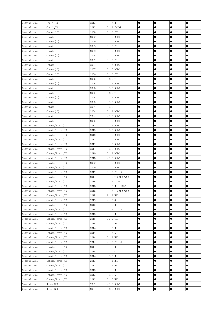| General Area | Cee' d(JD)       | 2013 | G 1.6 MPI         | $\bullet$ | $\bullet$ | $\bullet$ | $\bullet$ |
|--------------|------------------|------|-------------------|-----------|-----------|-----------|-----------|
| General Area | Cee'd (JD)       | 2013 | G 1.6 T-GDI       |           |           |           | 0         |
| General Area | Cerato(LD)       | 2009 | D 1.6 TCI-U       |           |           | 0         | ●         |
| General Area | Cerato(LD)       | 2009 | G 1.6 DOHC        |           |           | ●         | 0         |
| General Area | Cerato(LD)       | 2009 | G 2.0 DOHC        |           |           |           |           |
| General Area | Cerato(LD)       | 2008 | D 1.6 TCI-U       |           | $\bullet$ | 0         | $\bullet$ |
| General Area | Cerato(LD)       | 2008 | G 1.6 DOHC        | $\bullet$ | $\bullet$ |           | $\bullet$ |
| General Area | Cerato(LD)       | 2008 | G 2.0 DOHC        | $\bullet$ | $\bullet$ | 0         |           |
| General Area | Cerato(LD)       | 2007 | D 1.6 TCI-U       |           | $\bullet$ | 0         |           |
| General Area | Cerato(LD)       | 2007 | G 1.6 DOHC        |           |           | 0         | 0         |
| General Area | Cerato(LD)       | 2007 | G 2.0 DOHC        |           |           | 0         |           |
| General Area | Cerato(LD)       | 2006 | D 1.6 TCI-U       |           | $\bullet$ | $\bullet$ | $\bullet$ |
| General Area | Cerato(LD)       | 2006 | D 2.0 TCI-D       | $\bullet$ | $\bullet$ | 0         |           |
| General Area | Cerato(LD)       | 2006 | G 1.6 DOHC        | $\bullet$ | $\bullet$ | 0         |           |
| General Area | Cerato(LD)       | 2006 | G 2.0 DOHC        |           | $\bullet$ | ●         |           |
| General Area | Cerato(LD)       | 2005 | D 2.0 TCI-D       |           |           | 0         | ●         |
| General Area | Cerato(LD)       | 2005 | G 1.6 DOHC        |           |           | 0         |           |
| General Area | Cerato(LD)       | 2005 | G 2.0 DOHC        |           | $\bullet$ | $\bullet$ | $\bullet$ |
| General Area | Cerato(LD)       | 2004 | D 2.0 TCI-D       | $\bullet$ | $\bullet$ | $\bullet$ | $\bullet$ |
| General Area | Cerato(LD)       | 2004 | G 1.6 DOHC        | $\bullet$ | $\bullet$ | $\bullet$ | $\bullet$ |
| General Area | Cerato(LD)       | 2004 | G 2.0 DOHC        | $\bullet$ | $\bullet$ | $\bullet$ |           |
| General Area | Cerato(LD)       | 2003 | G 1.6 DOHC        |           | $\bullet$ | 0         |           |
| General Area | Cerato/Forte(TD) | 2013 | G 1.6 DOHC        |           |           | 0         | 0         |
| General Area | Cerato/Forte(TD) | 2013 | G 2.0 DOHC        |           |           | $\bullet$ | $\bullet$ |
| General Area | Cerato/Forte(TD) | 2012 | G 1.6 DOHC        |           | $\bullet$ | 0         | $\bullet$ |
| General Area | Cerato/Forte(TD) | 2012 | G 2.0 DOHC        | $\bullet$ | $\bullet$ | $\bullet$ |           |
| General Area | Cerato/Forte(TD) | 2011 | G 1.6 DOHC        |           |           | 0         |           |
| General Area | Cerato/Forte(TD) | 2011 | G 2.0 DOHC        |           |           | 0         |           |
| General Area | Cerato/Forte(TD) | 2010 | G 1.6 DOHC        |           |           | ●         |           |
| General Area | Cerato/Forte(TD) | 2010 | G 2.0 DOHC        |           |           | Œ         |           |
| General Area | Cerato/Forte(TD) | 2009 | G 1.6 DOHC        |           | $\bullet$ |           | $\bullet$ |
| General Area | Cerato/Forte(TD) | 2009 | G 2.0 DOHC        | $\bullet$ | $\bullet$ | $\bullet$ | $\bullet$ |
| General Area | Cerato/Forte(YD) | 2017 | D 1.6 TCI-U2      |           | $\bullet$ | 0         | 0         |
| General Area | Cerato/Forte(YD) | 2017 | G 1.6 T-GDI GAMMA | $\bullet$ | $\bullet$ | 0         |           |
| General Area | Cerato/Forte(YD) | 2016 | D 1.6 TCI-U2      |           | c         | ●         | 0         |
| General Area | Cerato/Forte(YD) | 2016 | G 1.6 MPI GAMMA   |           | e         |           |           |
| General Area | Cerato/Forte(YD) | 2016 | G 1.6 T-GDI GAMMA | $\bullet$ | $\bullet$ | $\bullet$ | $\bullet$ |
| General Area | Cerato/Forte(YD) | 2015 | F 1.6 MPI         | $\bullet$ | $\bullet$ | 0         | $\bullet$ |
| General Area | Cerato/Forte(YD) | 2015 | $G_1.6$ GDI       | $\bullet$ | $\bullet$ | 0         | $\bullet$ |
| General Area | Cerato/Forte(YD) | 2015 | G 1.6 MPI         | $\bullet$ | $\bullet$ |           | $\bullet$ |
| General Area | Cerato/Forte(YD) | 2015 | G 1.6 TCI GDI     | $\bullet$ | $\bullet$ | ●         | $\bullet$ |
| General Area | Cerato/Forte(YD) | 2015 | G 1.8 MPI         | $\bullet$ | $\bullet$ | $\bullet$ | $\bullet$ |
| General Area | Cerato/Forte(YD) | 2015 | G 2.0 GDI         |           | $\bullet$ |           |           |
| General Area | Cerato/Forte(YD) | 2015 | G 2.0 MPI         | $\bullet$ | $\bullet$ | $\bullet$ | $\bullet$ |
| General Area | Cerato/Forte(YD) | 2014 | F 1.6 MPI         | $\bullet$ | $\bullet$ | $\bullet$ | $\bullet$ |
| General Area | Cerato/Forte(YD) | 2014 | G 1.6 GDI         | $\bullet$ | $\bullet$ | 0         |           |
| General Area | Cerato/Forte(YD) | 2014 | G 1.6 MPI         | $\bullet$ | $\bullet$ | 0         |           |
| General Area | Cerato/Forte(YD) | 2014 | G 1.6 TCI GDI     | $\bullet$ | $\bullet$ |           |           |
| General Area | Cerato/Forte(YD) | 2014 | G 1.8 MPI         |           |           | 0         | $\bullet$ |
| General Area | Cerato/Forte(YD) | 2014 | G 2.0 GDI         | $\bullet$ | $\bullet$ | $\bullet$ | $\bullet$ |
| General Area | Cerato/Forte(YD) | 2014 | G 2.0 MPI         | $\bullet$ | $\bullet$ |           | $\bullet$ |
| General Area | Cerato/Forte(YD) | 2013 | F 1.6 MPI         | $\bullet$ | $\bullet$ | $\bullet$ | $\bullet$ |
| General Area | Cerato/Forte(YD) | 2013 | G 1.6 MPI         | $\bullet$ | $\bullet$ | ●         | $\bullet$ |
| General Area | Cerato/Forte(YD) | 2013 | G 1.8 MPI         | $\bullet$ | $\bullet$ | $\bullet$ | $\bullet$ |
| General Area | Cerato/Forte(YD) | 2013 | $G$ 2.0 $GDI$     | $\bullet$ | $\bullet$ | ●         | $\bullet$ |
| General Area | Cerato/Forte(YD) | 2013 | G 2.0 MPI         | $\bullet$ | $\bullet$ |           | $\bullet$ |
| General Area | Joice (NO)       | 2002 | G 2.0 DOHC        | $\bullet$ | $\bullet$ | $\bullet$ | $\bullet$ |
| General Area | Joice (NO)       | 2001 | G 2.0 DOHC        | $\bullet$ | $\bullet$ | $\bullet$ | $\bullet$ |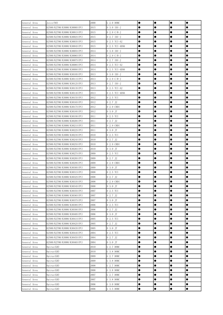| General Area                 | Joice (NO)                                                    | 2000         | G 2.0 DOHC            | $\bullet$ | $\bullet$ | $\bullet$ | $\bullet$ |
|------------------------------|---------------------------------------------------------------|--------------|-----------------------|-----------|-----------|-----------|-----------|
| General Area                 | K2500/K2700/K3000/K3000S (PU)                                 | 2015         | D 3.0 IDI-J           |           |           | 0         |           |
| General Area                 | K2500/K2700/K3000/K3001S(PU)                                  | 2015         | D 2.9 C/R-J           | $\bullet$ |           | 0         |           |
| General Area                 | K2500/K2700/K3000/K3002S(PU)                                  | 2015         | D 2.7 IDI-J           | $\bullet$ | $\bullet$ |           | $\bullet$ |
| General Area                 | K2500/K2700/K3000/K3003S(PU)                                  | 2015         | D 2.5 TCI-A2          | $\bullet$ | $\bullet$ | $\bullet$ | $\bullet$ |
| General Area                 | K2500/K2700/K3000/K3004S (PU)                                 | 2015         | D 2.5 TCI-4D56        | $\bullet$ |           | 0         | 0         |
| General Area                 | K2500/K2700/K3000/K3005S (PU)                                 | 2014         | D 3.0 IDI-J           | $\bullet$ | $\bullet$ | 0         | 0         |
| General Area                 | K2500/K2700/K3000/K3006S (PU)                                 | 2014         | D 2.9 C/R-J           | $\bullet$ |           | 0         |           |
| General Area                 | K2500/K2700/K3000/K3007S(PU)                                  | 2014         | D 2.7 IDI-J           | $\bullet$ |           | 0         |           |
| General Area                 | K2500/K2700/K3000/K3008S(PU)                                  | 2014         | D 2.5 TCI-A2          |           | $\bullet$ | 0         |           |
| General Area                 | K2500/K2700/K3000/K3009S(PU)                                  | 2014         | D 2.5 TCI-4D56        | $\bullet$ | $\bullet$ |           | $\bullet$ |
| General Area                 | K2500/K2700/K3000/K3010S(PU)                                  | 2013         | D 3.0 IDI-J           | $\bullet$ | $\bullet$ | 0         |           |
| General Area                 | K2500/K2700/K3000/K3011S(PU)                                  | 2013         | D 2.9 C/R-J           |           |           | e         | 0         |
| General Area                 | K2500/K2700/K3000/K3012S(PU)                                  | 2013         | D 2.7 IDI-J           |           |           |           |           |
| General Area                 | K2500/K2700/K3000/K3013S(PU)                                  | 2013         | D 2.5 TCI-A2          |           |           |           |           |
| General Area                 | K2500/K2700/K3000/K3014S (PU)                                 | 2013         | D 2.5 TCI-4D56        |           |           | Œ         |           |
| General Area                 | K2500/K2700/K3000/K3015S (PU)                                 | 2012         | D 2.5 TCI             | $\bullet$ | $\bullet$ | $\bullet$ | $\bullet$ |
| General Area                 | K2500/K2700/K3000/K3016S (PU)                                 | 2012         | D 2.7 J2              | $\bullet$ | $\bullet$ | $\bullet$ | $\bullet$ |
| General Area                 | K2500/K2700/K3000/K3017S (PU)                                 | 2012         | D 2.9 CRDI            | $\bullet$ |           | 0         | 0         |
| General Area                 | K2500/K2700/K3000/K3018S(PU)                                  | 2012         | D 3.0 JT              | $\bullet$ | $\bullet$ | $\bullet$ | $\bullet$ |
| General Area                 | K2500/K2700/K3000/K3019S(PU)                                  | 2011         | D 2.5 TCI             |           |           | $\bullet$ |           |
| General Area                 | K2500/K2700/K3000/K3020S (PU)                                 | 2011         | D 2.7 J2              |           |           | 0         | 0         |
| General Area                 | K2500/K2700/K3000/K3021S(PU)                                  | 2011         | D 2.9 CRDI            |           | $\bullet$ |           |           |
| General Area                 | K2500/K2700/K3000/K3022S(PU)                                  | 2011         | D 3.0 JT              | $\bullet$ | $\bullet$ | 0         |           |
| General Area                 | K2500/K2700/K3000/K3023S(PU)                                  | 2010         | D 2.5 TCI             | $\bullet$ |           | 0         |           |
| General Area                 | K2500/K2700/K3000/K3024S (PU)                                 | 2010         | D 2.7 J2              |           |           | 0         | 0         |
| General Area                 | K2500/K2700/K3000/K3025S(PU)                                  | 2010         | D 2.9 CRDI            |           |           |           |           |
| General Area                 | K2500/K2700/K3000/K3026S (PU)                                 | 2010         | D 3.0 JT              | $\bullet$ |           | 0         |           |
| General Area                 | K2500/K2700/K3000/K3027S(PU)                                  | 2009         | D 2.5 TCI             |           |           | 0         |           |
| General Area                 | K2500/K2700/K3000/K3028S(PU)                                  | 2009         | D 2.7 J2              | $\bullet$ | $\bullet$ | $\bullet$ | $\bullet$ |
| General Area                 | K2500/K2700/K3000/K3029S (PU)                                 | 2009         | D 2.9 CRDI            | $\bullet$ | $\bullet$ | $\bullet$ | $\bullet$ |
| General Area                 | K2500/K2700/K3000/K3030S (PU)                                 | 2009         | D 3.0 JT              | $\bullet$ | $\bullet$ | 0         | 0         |
| General Area                 | K2500/K2700/K3000/K3031S (PU)                                 | 2008         | D 2.5 TCI             | $\bullet$ |           | 0         |           |
| General Area                 | K2500/K2700/K3000/K3032S (PU)                                 | 2008         | D 2.7 J2              |           |           | $\bullet$ |           |
| General Area<br>General Area | K2500/K2700/K3000/K3033S (PU)                                 | 2008<br>2008 | $D 2.9$ CRDI          |           | $\bullet$ | 0<br>0    |           |
|                              | K2500/K2700/K3000/K3034S (PU)<br>K2500/K2700/K3000/K3035S(PU) | 2007         | D 3.0 JT              | $\bullet$ | $\bullet$ | $\bullet$ | $\bullet$ |
| General Area<br>General Area | K2500/K2700/K3000/K3036S (PU)                                 | 2007         | D 2.5 TCI<br>D 2.7 J2 |           |           | œ         |           |
| General Area                 | K2500/K2700/K3000/K3037S (PU)                                 | 2007         | D 3.0 JT              |           | $\bullet$ | ●         |           |
| General Area                 | K2500/K2700/K3000/K3038S (PU)                                 | 2006         | D 2.5 TCI             |           |           | ●         |           |
| General Area                 | K2500/K2700/K3000/K3039S (PU)                                 | 2006         | D 2.7 J2              |           |           |           |           |
| General Area                 | K2500/K2700/K3000/K3040S (PU)                                 | 2006         | D 3.0 JT              | $\bullet$ | $\bullet$ | 0         | $\bullet$ |
| General Area                 | K2500/K2700/K3000/K3041S(PU)                                  | 2005         | D 2.5 TCI             | $\bullet$ | $\bullet$ | $\bullet$ | $\bullet$ |
| General Area                 | K2500/K2700/K3000/K3042S(PU)                                  | 2005         | D 2.7 J2              | $\bullet$ | $\bullet$ | 0         | 0         |
| General Area                 | K2500/K2700/K3000/K3043S (PU)                                 | 2005         | D 3.0 JT              | $\bullet$ | $\bullet$ | 0         | 0         |
| General Area                 | K2500/K2700/K3000/K3044S(PU)                                  | 2004         | D 2.5 TCI             |           |           | 0         | 0         |
| General Area                 | K2500/K2700/K3000/K3045S (PU)                                 | 2004         | D 2.7 J2              |           |           | 0         |           |
| General Area                 | K2500/K2700/K3000/K3046S (PU)                                 | 2004         | D 3.0 JT              |           | $\bullet$ | $\bullet$ | $\bullet$ |
| General Area                 | Opirus(GH)                                                    | 2010         | G 2.7 DOHC            | $\bullet$ | $\bullet$ | $\bullet$ | $\bullet$ |
| General Area                 | Opirus(GH)                                                    | 2010         | G 3.8 DOHC            | $\bullet$ | $\bullet$ | 0         |           |
| General Area                 | Opirus (GH)                                                   | 2009         | G 2.7 DOHC            |           | $\bullet$ |           |           |
| General Area                 | Opirus(GH)                                                    | 2009         | G 3.8 DOHC            |           |           | ●         | ●         |
| General Area                 | Opirus (GH)                                                   | 2008         | G 2.7 DOHC            | $\bullet$ |           | ●         |           |
| General Area                 | Opirus (GH)                                                   | 2008         | G 3.8 DOHC            | $\bullet$ | $\bullet$ | $\bullet$ | $\bullet$ |
| General Area                 | Opirus (GH)                                                   | 2007         | G 2.7 DOHC            | $\bullet$ | $\bullet$ | 0         | $\bullet$ |
| General Area                 | Opirus (GH)                                                   | 2007         | G 3.8 DOHC            | $\bullet$ | $\bullet$ | $\bullet$ | $\bullet$ |
| General Area                 | Opirus (GH)                                                   | 2006         | G 3.0 DOHC            | $\bullet$ | $\bullet$ | 0         |           |
| General Area                 | Opirus (GH)                                                   | 2006         | G 3.5 DOHC            | $\bullet$ | $\bullet$ | $\bullet$ |           |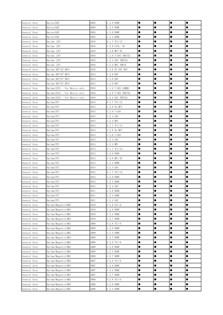| General Area | Opirus (GH)                     | 2005 | G 3.0 DOHC         | $\bullet$ | $\bullet$ | $\bullet$ | $\bullet$ |
|--------------|---------------------------------|------|--------------------|-----------|-----------|-----------|-----------|
| General Area | Opirus(GH)                      | 2005 | G 3.5 DOHC         |           |           | œ         | 0         |
| General Area | Opirus (GH)                     | 2004 | G 3.0 DOHC         |           |           | ●         |           |
| General Area | Opirus (GH)                     | 2004 | G 3.5 DOHC         |           |           | ●         |           |
| General Area | Optima (JF)                     | 2016 | D 1.7 TCI-U2       | $\bullet$ |           |           |           |
| General Area | Optima (JF)                     | 2016 | G 2.0 CVVL- NU     | $\bullet$ | $\bullet$ | $\bullet$ | $\bullet$ |
| General Area | Optima (JF)                     | 2016 | G 2.0 MPI-NU       | $\bullet$ | $\bullet$ | $\bullet$ | $\bullet$ |
| General Area | Optima (JF)                     | 2016 | G 2.0 T-GDI THETA2 | $\bullet$ | $\bullet$ | $\bullet$ | $\bullet$ |
| General Area | Optima (JF)                     | 2016 | G 2.4 GDI THETA2   | $\bullet$ | $\bullet$ | $\bullet$ | $\bullet$ |
| General Area | Optima (JF)                     | 2016 | G 2.4 MPI THETA    | $\bullet$ | $\bullet$ |           |           |
| General Area | Optima HEV(JF HEV)              | 2016 | G 2.0 NU GDI HEV   | $\bullet$ |           |           |           |
| General Area | Optima HEV(TF HEV)              | 2015 | G 2.0 HEV          | $\bullet$ | $\bullet$ | $\bullet$ | $\bullet$ |
| General Area | Optima HEV(TF HEV)              | 2014 | G 2.0 HEV          | $\bullet$ | $\bullet$ |           | $\bullet$ |
| General Area | Optima HEV(TF HEV)              | 2013 | G 2.0 HEV          | $\bullet$ | $\bullet$ | 0         |           |
| General Area | Optima(JFA) - For Mexico only   | 2016 | G 1.6 T-GDI GAMMA  |           | $\bullet$ |           |           |
| General Area | Optima(JFA) - For Mexico only   | 2016 | G 2.0 T-GDI THETA2 | $\bullet$ | $\bullet$ | $\bullet$ | $\bullet$ |
| General Area | $Optima(JFA) - For Mexico only$ | 2016 | G 2.4 GDI THETA2   | $\bullet$ |           | 0         |           |
| General Area | 0ptima(TF)                      | 2015 | D 1.7 TCI-U2       | $\bullet$ | $\bullet$ | 0         | $\bullet$ |
| General Area | 0ptima(TF)                      | 2015 | G 2.0 Nu MPI       | $\bullet$ | $\bullet$ | $\bullet$ | $\bullet$ |
| General Area | 0ptima(TF)                      | 2015 | G 2.0 T-GDI        | $\bullet$ | $\bullet$ | $\bullet$ | $\bullet$ |
| General Area | 0ptima(TF)                      | 2015 | G 2.4 GDI          | $\bullet$ | $\bullet$ | $\bullet$ | $\bullet$ |
| General Area | 0ptima(TF)                      | 2015 | G 2.4 MPI          | $\bullet$ | $\bullet$ | 0         |           |
| General Area | 0ptima(TF)                      | 2014 | D 1.7 TCI-U2       | $\bullet$ | $\bullet$ | $\bullet$ | $\bullet$ |
| General Area | 0ptima(TF)                      | 2014 | G 2.0 Nu MPI       | $\bullet$ | $\bullet$ |           |           |
| General Area | 0ptima(TF)                      | 2014 | G 2.0 T-GDI        | $\bullet$ | $\bullet$ |           | $\bullet$ |
| General Area | 0ptima(TF)                      | 2014 | $G$ 2.4 GDI        | $\bullet$ | $\bullet$ | $\bullet$ |           |
| General Area | Optima(TF)                      | 2014 | G 2.4 MPI          | $\bullet$ | $\bullet$ | 0         |           |
| General Area | 0ptima(TF)                      | 2013 | D 1.7 TCI-U2       |           | $\bullet$ | ●         |           |
| General Area | 0ptima(TF)                      | 2013 | G 2.0 DOHC         |           |           | ●         |           |
| General Area | 0ptima(TF)                      | 2013 | G 2.0 MPI-NU       |           |           |           |           |
| General Area | 0ptima(TF)                      | 2013 | G 2.4 DOHC         | $\bullet$ | $\bullet$ | $\bullet$ | $\bullet$ |
| General Area | 0ptima(TF)                      | 2013 | G 2.4 GDI          | $\bullet$ | $\bullet$ | $\bullet$ | $\bullet$ |
| General Area | 0ptima(TF)                      | 2012 | D 1.7 TCI-U2       | $\bullet$ | $\bullet$ |           |           |
| General Area | 0ptima(TF)                      | 2012 | G 2.0 DOHC         | $\bullet$ | $\bullet$ |           |           |
| General Area | Optima(TF)                      | 2012 | G 2.4 DOHC         | $\bullet$ |           | 0         |           |
| General Area | 0ptima(TF)                      | 2012 | G 2.4 GDI          |           |           | c         | Œ         |
| General Area | 0ptima(TF)                      | 2011 | G 2.0 DOHC         | $\bullet$ | $\bullet$ | $\bullet$ | $\bullet$ |
| General Area | Optima(TF)                      | 2011 | G 2.4 DOHC         | $\bullet$ | $\bullet$ | 0         | $\bullet$ |
| General Area | 0ptima(TF)                      | 2011 | G 2.4 GDI          | $\bullet$ | $\bullet$ | $\bullet$ | $\bullet$ |
| General Area | Optima/Magentis(MG)             | 2010 | D 2.0 TCI-D        | $\bullet$ | $\bullet$ | 0         | $\bullet$ |
| General Area | Optima/Magentis(MG)             | 2010 | G 2.0 DOHC         | $\bullet$ | $\bullet$ | $\bullet$ | $\bullet$ |
| General Area | Optima/Magentis(MG)             | 2010 | G 2.4 DOHC         | $\bullet$ | $\bullet$ | $\bullet$ | $\bullet$ |
| General Area | Optima/Magentis(MG)             | 2010 | G 2.7 DOHC         | $\bullet$ | $\bullet$ |           | $\bullet$ |
| General Area | Optima/Magentis(MG)             | 2009 | D 2.0 TCI-D        | $\bullet$ | $\bullet$ | $\bullet$ | $\bullet$ |
| General Area | Optima/Magentis(MG)             | 2009 | G 2.0 DOHC         | $\bullet$ | $\bullet$ | $\bullet$ | $\bullet$ |
| General Area | Optima/Magentis(MG)             | 2009 | G 2.4 DOHC         | $\bullet$ | $\bullet$ | $\bullet$ | $\bullet$ |
| General Area | Optima/Magentis(MG)             | 2009 | G 2.7 DOHC         | $\bullet$ | $\bullet$ | 0         | $\bullet$ |
| General Area | Optima/Magentis(MG)             | 2008 | $D 2.0 TCI-D$      | $\bullet$ | $\bullet$ | $\bullet$ | $\bullet$ |
| General Area | Optima/Magentis(MG)             | 2008 | G 2.0 DOHC         | $\bullet$ | $\bullet$ | 0         | $\bullet$ |
| General Area | Optima/Magentis(MG)             | 2008 | G 2.4 DOHC         | $\bullet$ | $\bullet$ | $\bullet$ | $\bullet$ |
| General Area | Optima/Magentis(MG)             | 2008 | G 2.7 DOHC         | $\bullet$ | $\bullet$ | $\bullet$ | $\bullet$ |
| General Area | Optima/Magentis(MG)             | 2007 | D 2.0 TCI-D        | $\bullet$ | $\bullet$ | $\bullet$ | $\bullet$ |
| General Area | Optima/Magentis(MG)             | 2007 | G 2.0 DOHC         | $\bullet$ | $\bullet$ | $\bullet$ | $\bullet$ |
| General Area | Optima/Magentis(MG)             | 2007 | G 2.4 DOHC         | $\bullet$ | $\bullet$ | $\bullet$ | $\bullet$ |
| General Area | Optima/Magentis(MG)             | 2007 | G 2.7 DOHC         | $\bullet$ | $\bullet$ | 0         | $\bullet$ |
| General Area | Optima/Magentis(MG)             | 2006 | D 2.0 TCI-D        | $\bullet$ | $\bullet$ | $\bullet$ | $\bullet$ |
| General Area | Optima/Magentis(MG)             | 2006 | G 2.0 DOHC         | $\bullet$ | $\bullet$ | $\bullet$ | $\bullet$ |
| General Area | Optima/Magentis(MG)             | 2006 | G 2.4 DOHC         | $\bullet$ | $\bullet$ | $\bullet$ | $\bullet$ |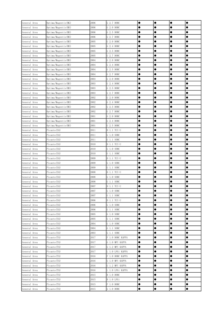| General Area                 | Optima/Magentis(MG)          | 2006         | G 2.7 DOHC               | $\bullet$              | $\bullet$              | $\bullet$ | $\bullet$ |
|------------------------------|------------------------------|--------------|--------------------------|------------------------|------------------------|-----------|-----------|
| General Area                 | Optima/Magentis(MS)          | 2006         | G 2.0 DOHC               |                        |                        | c         | 0         |
| General Area                 | Optima/Magentis(MS)          | 2006         | G 2.5 DOHC               |                        | $\bullet$              | 0         |           |
| General Area                 | Optima/Magentis(MS)          | 2006         | G 2.7 DOHC               | $\bullet$              | $\bullet$              | 0         | $\bullet$ |
| General Area                 | Optima/Magentis(MS)          | 2005         | G 2.0 DOHC               | $\bullet$              | $\bullet$              | $\bullet$ | $\bullet$ |
| General Area                 | Optima/Magentis(MS)          | 2005         | G 2.4 DOHC               | $\bullet$              | $\bullet$              | 0         | 0         |
| General Area                 | Optima/Magentis(MS)          | 2005         | G 2.5 DOHC               | $\bullet$              |                        | 0         | 0         |
| General Area                 | Optima/Magentis(MS)          | 2005         | G 2.7 DOHC               | $\bullet$              |                        | 0         |           |
| General Area                 | Optima/Magentis(MS)          | 2004         | G 2.0 DOHC               | $\bullet$              |                        | 0         |           |
| General Area                 | Optima/Magentis(MS)          | 2004         | G 2.4 DOHC               |                        | $\bullet$              | 0         | $\bullet$ |
| General Area                 | Optima/Magentis(MS)          | 2004         | G 2.5 DOHC               | $\bullet$              | $\bullet$              | 0         | $\bullet$ |
| General Area                 | Optima/Magentis(MS)          | 2004         | G 2.7 DOHC               | $\bullet$              | $\bullet$              | $\bullet$ | $\bullet$ |
| General Area                 | Optima/Magentis(MS)          | 2003         | G 2.0 DOHC               |                        |                        | e         |           |
| General Area                 | Optima/Magentis(MS)          | 2003         | G 2.4 DOHC               |                        | $\bullet$              | 0         | 0         |
| General Area                 | Optima/Magentis(MS)          | 2003         | G 2.5 DOHC               | $\bullet$              | $\bullet$              | ●         | $\bullet$ |
| General Area                 | Optima/Magentis(MS)          | 2003         | G 2.7 DOHC               |                        |                        | Œ         | 0         |
| General Area                 | Optima/Magentis(MS)          | 2002         | G 2.0 DOHC               | $\bullet$              | $\bullet$              | $\bullet$ | $\bullet$ |
| General Area                 | Optima/Magentis(MS)          | 2002         | G 2.4 DOHC               | $\bullet$              | $\bullet$              | $\bullet$ | $\bullet$ |
| General Area                 | Optima/Magentis(MS)          | 2002         | G 2.5 DOHC               | $\bullet$              | $\bullet$              | 0         | 0         |
| General Area                 | Optima/Magentis(MS)          | 2002         | G 2.7 DOHC               | $\bullet$              | $\bullet$              | $\bullet$ | $\bullet$ |
| General Area                 | Optima/Magentis(MS)          | 2001         | G 2.0 DOHC               | $\bullet$              |                        | $\bullet$ | 0         |
| General Area                 | Optima/Magentis(MS)          | 2001         | G 2.4 DOHC               |                        | 0                      | 0         | 0         |
| General Area                 | Optima/Magentis(MS)          | 2001         | G 2.5 DOHC               | $\bullet$              | $\bullet$              | 0         |           |
| General Area                 | Picanto (SA)                 | 2011         | D 1.1 TCI-U              | $\bullet$              | $\bullet$              | $\bullet$ | $\bullet$ |
| General Area                 | Picanto (SA)                 | 2011         | G 1.0 SOHC               | $\bullet$              | $\bullet$              | 0         |           |
| General Area                 | Picanto(SA)                  | 2011         | G 1.1 SOHC               |                        | $\bullet$              | 0         | 0         |
| General Area                 | Picanto(SA)                  | 2010         | D 1.1 TCI-U              | $\bullet$              | $\bullet$              | 0         |           |
| General Area                 | Picanto (SA)                 | 2010         | G 1.0 SOHC               | $\bullet$              | $\bullet$              | 0         |           |
| General Area                 | Picanto(SA)                  | 2010         | G 1.1 SOHC               |                        | $\bullet$              | 0         | $\bullet$ |
| General Area                 | Picanto (SA)                 | 2009         | D 1.1 TCI-U              | $\bullet$              | $\bullet$              | $\bullet$ | $\bullet$ |
| General Area                 | Picanto (SA)                 | 2009         | G 1.0 SOHC               | $\bullet$              | $\bullet$              | $\bullet$ | $\bullet$ |
| General Area                 | Picanto (SA)                 | 2009         | G 1.1 SOHC               | $\bullet$              | $\bullet$              | 0         | 0         |
| General Area                 | Picanto (SA)                 | 2008         | D 1.1 TCI-U              | $\bullet$              |                        | 0         |           |
| General Area                 | Picanto (SA)                 | 2008         | G 1.0 SOHC               | $\bullet$              | $\bullet$              | 0         |           |
| General Area                 | Picanto(SA)                  | 2008         | G 1.1 SOHC               |                        |                        | 0         |           |
| General Area                 | Picanto (SA)                 | 2007         | D 1.1 TCI-U              |                        |                        |           |           |
| General Area                 | Picanto (SA)                 | 2007         | G 1.0 SOHC               | $\bullet$              | $\bullet$              | $\bullet$ | $\bullet$ |
| General Area                 | Picanto (SA)                 | 2007         | G 1.1 SOHC               |                        |                        | c         |           |
| General Area                 | Picanto (SA)                 | 2006         | D 1.1 TCI-U              |                        | $\bullet$              | ●         | ●         |
| General Area                 | Picanto (SA)                 | 2006         | G 1.0 SOHC               |                        |                        | ●         | ●         |
| General Area                 | Picanto (SA)                 | 2006         | G 1.1 SOHC               |                        |                        |           |           |
| General Area                 | Picanto (SA)                 | 2005         | G 1.0 SOHC               |                        | $\bullet$              |           | $\bullet$ |
| General Area                 | Picanto (SA)                 | 2005         | G 1.1 SOHC               | $\bullet$<br>$\bullet$ | $\bullet$<br>$\bullet$ | 0         |           |
| General Area                 | Picanto (SA)<br>Picanto (SA) | 2004<br>2004 | G 1.0 SOHC               | $\bullet$              | $\bullet$              | 0<br>0    | 0         |
| General Area                 | Picanto (SA)                 | 2003         | G 1.1 SOHC<br>G 1.1 SOHC |                        |                        |           |           |
| General Area<br>General Area | Picanto (TA)                 | 2017         | F 1.0 DOHC KAPPA         | $\bullet$              |                        |           |           |
| General Area                 | Picanto (TA)                 | 2017         | G 1.0 MPI KAPPA          | $\bullet$              | $\bullet$              |           | $\bullet$ |
| General Area                 | Picanto(TA)                  | 2017         | G 1.2 MPI KAPPA          | $\bullet$              | $\bullet$              |           | $\bullet$ |
| General Area                 | Picanto (TA)                 | 2017         | L 1.0 LPGi KAPPA         | $\bullet$              | $\bullet$              | 0         | $\bullet$ |
| General Area                 | Picanto (TA)                 | 2016         | F 1.0 DOHC KAPPA         | $\bullet$              | $\bullet$              | ●         |           |
| General Area                 | Picanto (TA)                 | 2016         | G 1.0 MPI KAPPA          |                        |                        | ●         | ●         |
| General Area                 | Picanto(TA)                  | 2016         | G 1.2 MPI KAPPA          |                        |                        | $\bullet$ | $\bullet$ |
| General Area                 | Picanto (TA)                 | 2016         | L 1.0 LPGi KAPPA         |                        | $\bullet$              | $\bullet$ | $\bullet$ |
| General Area                 | Picanto (TA)                 | 2015         | B 1.0 DOHC               | $\bullet$              | $\bullet$              | $\bullet$ | $\bullet$ |
| General Area                 | Picanto (TA)                 | 2015         | B 1.0 LPGi               | $\bullet$              | $\bullet$              | $\bullet$ | $\bullet$ |
| General Area                 | Picanto (TA)                 | 2015         | F 1.0 DOHC               |                        | $\bullet$              | 0         |           |
| General Area                 | Picanto (TA)                 | 2015         | G 1.0 DOHC               | $\bullet$              | $\bullet$              | $\bullet$ | $\bullet$ |
|                              |                              |              |                          |                        |                        |           |           |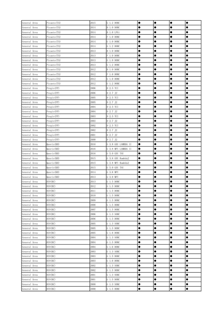| General Area | Picanto (TA) | 2015 | G 1.2 DOHC          | $\bullet$ | $\bullet$ | $\bullet$ | $\bullet$ |
|--------------|--------------|------|---------------------|-----------|-----------|-----------|-----------|
| General Area | Picanto(TA)  | 2014 | B 1.0 DOHC          |           |           | Œ         |           |
| General Area | Picanto (TA) | 2014 | B 1.0 LPGi          |           |           | 0         |           |
| General Area | Picanto (TA) | 2014 | F 1.0 DOHC          |           | $\bullet$ |           | $\bullet$ |
| General Area | Picanto (TA) | 2014 | G 1.0 DOHC          | $\bullet$ | $\bullet$ | $\bullet$ | $\bullet$ |
| General Area | Picanto (TA) | 2014 | G 1.2 DOHC          | $\bullet$ | $\bullet$ | $\bullet$ |           |
| General Area | Picanto (TA) | 2013 | B 1.0 DOHC          |           | $\bullet$ | $\bullet$ |           |
| General Area | Picanto (TA) | 2013 | F 1.0 DOHC          |           | $\bullet$ | $\bullet$ |           |
| General Area | Picanto(TA)  | 2013 | G 1.0 DOHC          | $\bullet$ | $\bullet$ | 0         |           |
| General Area | Picanto (TA) | 2013 | G 1.2 DOHC          |           | $\bullet$ | 0         | $\bullet$ |
| General Area | Picanto (TA) | 2012 | B 1.0 DOHC          | $\bullet$ | $\bullet$ | $\bullet$ | $\bullet$ |
| General Area | Picanto(TA)  | 2012 | F 1.0 DOHC          | $\bullet$ | $\bullet$ | $\bullet$ | $\bullet$ |
| General Area | Picanto(TA)  | 2012 | G 1.0 DOHC          |           | $\bullet$ |           |           |
| General Area | Picanto(TA)  | 2012 | G 1.2 DOHC          |           | $\bullet$ | ●         |           |
| General Area | Pregio(FP)   | 2006 | D 2.5 TCI           |           |           | $\bullet$ | $\bullet$ |
| General Area | Pregio(FP)   | 2006 | D 2.7 J2            |           |           | ●         |           |
| General Area | Pregio (FP)  | 2005 | D 2.5 TCI           | $\bullet$ | $\bullet$ | $\bullet$ | $\bullet$ |
| General Area | Pregio(FP)   | 2005 | D 2.7 J2            | $\bullet$ | $\bullet$ | $\bullet$ | $\bullet$ |
| General Area | Pregio(FP)   | 2004 | D 2.5 TCI           | $\bullet$ | $\bullet$ | $\bullet$ | 0         |
| General Area | Pregio(FP)   | 2004 | D 2.7 J2            | $\bullet$ | $\bullet$ | $\bullet$ | $\bullet$ |
| General Area | Pregio(FP)   | 2003 | D 2.5 TCI           |           | $\bullet$ | $\bullet$ |           |
| General Area | Pregio(FP)   | 2003 | D 2.7 J2            |           |           | 0         |           |
| General Area | Pregio(FP)   | 2002 | D 2.5 TCI           |           | $\bullet$ | $\bullet$ | $\bullet$ |
| General Area | Pregio(FP)   | 2002 | D 2.7 J2            | $\bullet$ | $\bullet$ | $\bullet$ |           |
| General Area | Pregio(FP)   | 2001 | D 2.7 J2            | $\bullet$ | $\bullet$ | 0         |           |
| General Area | Pregio(FP)   | 2000 | D 2.7 J2            |           |           |           | ●         |
| General Area | Quoris(KH)   | 2016 | G 3.8 GDI LAMBDA II | $\bullet$ | $\bullet$ | ●         | $\bullet$ |
| General Area | Quoris (KH)  | 2016 | G 3.8 MPI LAMBDA II | $\bullet$ |           | 0         |           |
| General Area | Quoris (KH)  | 2016 | G 5.0 GDI TAU       |           | $\bullet$ | 0         |           |
| General Area | Quoris (KH)  | 2015 | G 3.8 GDI Rambda2   | $\bullet$ | $\bullet$ | $\bullet$ | $\bullet$ |
| General Area | Quoris (KH)  | 2015 | G 3.8 MPI Rambda2   | $\bullet$ | $\bullet$ | $\bullet$ | $\bullet$ |
| General Area | Quoris (KH)  | 2015 | G 5.0 GDI TAU       | $\bullet$ | $\bullet$ | 0         |           |
| General Area | Quoris(KH)   | 2014 | G 3.8 MPI           |           | $\bullet$ | 0         |           |
| General Area | Quoris(KH)   | 2013 | G 3.8 MPI           |           | $\bullet$ | $\bullet$ |           |
| General Area | RIO(BC)      | 2013 | G 1.5 DOHC          |           |           | 0         |           |
| General Area | RIO(BC)      | 2012 | G 1.5 DOHC          |           | $\bullet$ |           | 0         |
| General Area | RIO(BC)      | 2011 | G 1.5 DOHC          | $\bullet$ | $\bullet$ | $\bullet$ | $\bullet$ |
| General Area | RIO(BC)      | 2010 | G 1.5 DOHC          | $\bullet$ |           | Œ         |           |
| General Area | RIO(BC)      | 2009 | G 1.5 DOHC          | $\bullet$ | $\bullet$ | ●         |           |
| General Area | RIO(BC)      | 2008 | G 1.5 DOHC          |           |           | ●         | $\bullet$ |
| General Area | RIO(BC)      | 2007 | G 1.5 DOHC          |           |           | $\bullet$ |           |
| General Area | RIO(BC)      | 2006 | G 1.3 SOHC          | $\bullet$ | $\bullet$ |           | $\bullet$ |
| General Area | RIO(BC)      | 2006 | G 1.5 DOHC          | $\bullet$ | $\bullet$ | $\bullet$ | $\bullet$ |
| General Area | RIO(BC)      | 2005 | G 1.3 SOHC          | $\bullet$ | $\bullet$ | 0         |           |
| General Area | RIO(BC)      | 2005 | G 1.5 DOHC          | $\bullet$ | $\bullet$ | 0         |           |
| General Area | RIO(BC)      | 2005 | G 1.6 DOHC          |           |           |           |           |
| General Area | RIO(BC)      | 2004 | G 1.3 SOHC          | $\bullet$ | $\bullet$ |           | $\bullet$ |
| General Area | RIO(BC)      | 2004 | G 1.5 DOHC          |           | $\bullet$ |           | $\bullet$ |
| General Area | RIO(BC)      | 2004 | G 1.6 DOHC          | $\bullet$ | $\bullet$ | $\bullet$ | $\bullet$ |
| General Area | RIO(BC)      | 2003 | G 1.3 SOHC          | $\bullet$ | $\bullet$ | $\bullet$ | $\bullet$ |
| General Area | RIO(BC)      | 2003 | G 1.5 DOHC          | $\bullet$ | $\bullet$ | ●         | $\bullet$ |
| General Area | RIO(BC)      | 2003 | G 1.6 DOHC          |           | $\bullet$ | ●         | ●         |
| General Area | RIO(BC)      | 2002 | G 1.3 SOHC          | $\bullet$ | $\bullet$ | $\bullet$ | $\bullet$ |
| General Area | RIO(BC)      | 2002 | G 1.5 DOHC          | $\bullet$ | $\bullet$ |           | $\bullet$ |
| General Area | RIO(BC)      | 2001 | G 1.3 SOHC          | $\bullet$ | $\bullet$ | $\bullet$ | $\bullet$ |
| General Area | RIO(BC)      | 2001 | G 1.5 DOHC          | $\bullet$ | $\bullet$ | $\bullet$ | $\bullet$ |
| General Area | RIO(BC)      | 2000 | G 1.3 SOHC          | $\bullet$ | $\bullet$ | 0         |           |
| General Area | RIO(BC)      | 2000 | G 1.5 DOHC          | $\bullet$ | $\bullet$ | $\bullet$ | $\bullet$ |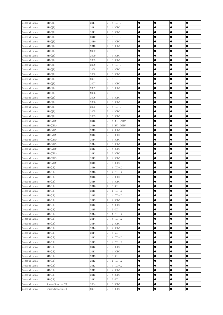| General Area | RIO(JB)           | 2011 | D 1.5 TCI-U     | $\bullet$ | $\bullet$ | $\bullet$ | $\bullet$ |
|--------------|-------------------|------|-----------------|-----------|-----------|-----------|-----------|
| General Area | RIO(JB)           | 2011 | G 1.4 DOHC      |           |           | œ         |           |
| General Area | RIO(JB)           | 2011 | G 1.6 DOHC      |           |           | ●         |           |
| General Area | RIO(JB)           | 2010 | D 1.5 TCI-U     |           |           | ●         |           |
| General Area | RIO(JB)           | 2010 | G 1.4 DOHC      |           |           |           |           |
| General Area | RIO(JB)           | 2010 | G 1.6 DOHC      | $\bullet$ | $\bullet$ | $\bullet$ | $\bullet$ |
| General Area | RIO(JB)           | 2009 | D 1.5 TCI-U     | $\bullet$ | $\bullet$ | $\bullet$ | $\bullet$ |
| General Area | RIO(JB)           | 2009 | G 1.4 DOHC      | $\bullet$ | $\bullet$ | $\bullet$ | $\bullet$ |
| General Area | RIO(JB)           | 2009 | G 1.6 DOHC      | $\bullet$ | $\bullet$ | $\bullet$ | $\bullet$ |
| General Area | RIO(JB)           | 2008 | D 1.5 TCI-U     |           | $\bullet$ | 0         |           |
| General Area | RIO(JB)           | 2008 | G 1.4 DOHC      | $\bullet$ | $\bullet$ |           | $\bullet$ |
| General Area | RIO(JB)           | 2008 | G 1.6 DOHC      |           | $\bullet$ | $\bullet$ | $\bullet$ |
| General Area | RIO(JB)           | 2007 | D 1.5 TCI-U     | $\bullet$ | $\bullet$ | $\bullet$ | $\bullet$ |
| General Area | RIO(JB)           | 2007 | G 1.4 DOHC      | $\bullet$ | $\bullet$ | $\bullet$ | $\bullet$ |
| General Area | RIO(JB)           | 2007 | G 1.6 DOHC      | $\bullet$ | $\bullet$ | $\bullet$ | $\bullet$ |
| General Area | RIO(JB)           | 2006 | D 1.5 TCI-U     |           | $\bullet$ | ●         | ●         |
| General Area | RIO(JB)           | 2006 | G 1.4 DOHC      | $\bullet$ | $\bullet$ | 0         | $\bullet$ |
| General Area | RIO(JB)           | 2006 | G 1.6 DOHC      |           | $\bullet$ | $\bullet$ | $\bullet$ |
| General Area | RIO(JB)           | 2005 | D 1.5 TCI-U     | $\bullet$ | $\bullet$ | $\bullet$ | $\bullet$ |
| General Area | RIO(JB)           | 2005 | G 1.4 DOHC      | $\bullet$ | $\bullet$ | $\bullet$ | $\bullet$ |
| General Area | RIO(JB)           | 2005 | G 1.6 DOHC      | $\bullet$ | $\bullet$ | $\bullet$ | $\bullet$ |
| General Area | RIO(QBR)          | 2016 | G 1.4 MPI GAMMA | $\bullet$ | $\bullet$ | $\bullet$ |           |
| General Area | RIO (QBR)         | 2016 | G 1.6 MPI GAMMA | $\bullet$ | $\bullet$ | $\bullet$ |           |
| General Area | RIO (QBR)         | 2015 | G 1.4 DOHC      |           | $\bullet$ |           | $\bullet$ |
| General Area | RIO (QBR)         | 2015 | G 1.6 DOHC      | $\bullet$ | $\bullet$ | $\bullet$ | $\bullet$ |
| General Area | RIO (QBR)         | 2014 | G 1.4 DOHC      | $\bullet$ | $\bullet$ | $\bullet$ | $\bullet$ |
| General Area | RIO (QBR)         | 2014 | G 1.6 DOHC      |           | $\bullet$ | 0         |           |
| General Area | RIO (QBR)         | 2013 | G 1.4 DOHC      |           | $\bullet$ | $\bullet$ |           |
| General Area | RIO (QBR)         | 2013 | G 1.6 DOHC      |           |           | $\bullet$ | $\bullet$ |
| General Area | RIO(QBR)          | 2012 | G 1.4 DOHC      |           |           |           |           |
| General Area | RIO (QBR)         | 2012 | G 1.6 DOHC      | $\bullet$ | $\bullet$ |           | $\bullet$ |
| General Area | RIO(UB)           | 2016 | D 1.1 TCI-U2    | $\bullet$ | $\bullet$ | $\bullet$ | $\bullet$ |
| General Area | RIO(UB)           | 2016 | D 1.4 TCI-U2    | $\bullet$ | $\bullet$ | $\bullet$ |           |
| General Area | RIO(UB)           | 2016 | G 1.2 DOHC      | $\bullet$ | $\bullet$ | 0         |           |
| General Area | RIO(UB)           | 2016 | G 1.4 DOHC      |           |           | $\bullet$ |           |
| General Area | RIO(UB)           | 2016 | $G_1.6GDI$      |           |           | e         | 0         |
| General Area | RIO(UB)           | 2015 | D 1.1 TCI-U2    | $\bullet$ | $\bullet$ | $\bullet$ | $\bullet$ |
| General Area | RIO(UB)           | 2015 | D 1.4 TCI-U2    | $\bullet$ | $\bullet$ | 0         | $\bullet$ |
| General Area | RIO(UB)           | 2015 | G 1.2 DOHC      | $\bullet$ | $\bullet$ | $\bullet$ | $\bullet$ |
| General Area | RIO(UB)           | 2015 | G 1.4 DOHC      | $\bullet$ | $\bullet$ | 0         | $\bullet$ |
| General Area | RIO(UB)           | 2015 | $G_1.6$ GDI     | $\bullet$ | $\bullet$ | $\bullet$ | $\bullet$ |
| General Area | RIO(UB)           | 2014 | D 1.1 TCI-U2    | $\bullet$ | $\bullet$ | $\bullet$ | $\bullet$ |
| General Area | RIO(UB)           | 2014 | D 1.4 TCI-U2    | $\bullet$ | $\bullet$ | 0         | $\bullet$ |
| General Area | RIO(UB)           | 2014 | G 1.2 DOHC      | $\bullet$ | $\bullet$ | $\bullet$ | $\bullet$ |
| General Area | RIO(UB)           | 2014 | G 1.4 DOHC      | $\bullet$ | $\bullet$ | $\bullet$ | $\bullet$ |
| General Area | RIO(UB)           | 2014 | $G_1.6$ GDI     | $\bullet$ | $\bullet$ | 0         |           |
| General Area | RIO(UB)           | 2013 | D 1.1 TCI-U2    |           | $\bullet$ | 0         |           |
| General Area | RIO(UB)           | 2013 | D 1.4 TCI-U2    | $\bullet$ | $\bullet$ |           |           |
| General Area | RIO(UB)           | 2013 | G 1.2 DOHC      |           |           | 0         |           |
| General Area | RIO(UB)           | 2013 | G 1.4 DOHC      | $\bullet$ | $\bullet$ | $\bullet$ | $\bullet$ |
| General Area | RIO(UB)           | 2013 | $G_1.6$ GDI     | $\bullet$ | $\bullet$ | $\bullet$ | $\bullet$ |
| General Area | RIO(UB)           | 2012 | D 1.1 TCI-U2    | $\bullet$ | $\bullet$ | $\bullet$ |           |
| General Area | RIO(UB)           | 2012 | D 1.4 TCI-U2    | $\bullet$ | $\bullet$ | $\bullet$ | $\bullet$ |
| General Area | RIO(UB)           | 2012 | G 1.2 DOHC      | $\bullet$ | $\bullet$ | $\bullet$ | $\bullet$ |
| General Area | RIO(UB)           | 2012 | G 1.4 DOHC      | $\bullet$ | $\bullet$ | $\bullet$ | $\bullet$ |
| General Area | RIO(UB)           | 2012 | G 1.6 GDI       | $\bullet$ | $\bullet$ | $\bullet$ | $\bullet$ |
| General Area | Shuma/Spectra(SD) | 2004 | G 1.6 DOHC      | $\bullet$ | $\bullet$ | $\bullet$ | $\bullet$ |
| General Area | Shuma/Spectra(SD) | 2004 | G 1.8 DOHC      | $\bullet$ | $\bullet$ | $\bullet$ | $\bullet$ |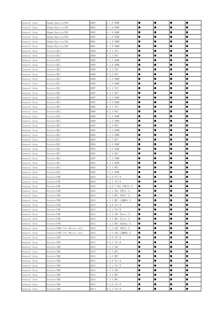| General Area | Shuma/Spectra(SD)             | 2003 | G 1.6 DOHC           | $\bullet$ | $\bullet$ | $\bullet$ |           |
|--------------|-------------------------------|------|----------------------|-----------|-----------|-----------|-----------|
| General Area | Shuma/Spectra(SD)             | 2003 | G 1.8 DOHC           |           |           |           | ●         |
| General Area | Shuma/Spectra(SD)             | 2002 | G 1.6 DOHC           |           |           | 0         | 0         |
| General Area | Shuma/Spectra(SD)             | 2002 | G 1.8 DOHC           |           |           | 0         |           |
| General Area | Shuma/Spectra(SD)             | 2001 | G 1.6 DOHC           | $\bullet$ | $\bullet$ | $\bullet$ | $\bullet$ |
| General Area | Shuma/Spectra(SD)             | 2001 | G 1.8 DOHC           | $\bullet$ | $\bullet$ | 0         | $\bullet$ |
| General Area | Sorento (BL)                  | 2009 | D 2.5 VGT            |           | $\bullet$ | 0         | 0         |
| General Area | Sorento (BL)                  | 2009 | D 2.5 WGT            | $\bullet$ | $\bullet$ | 0         |           |
| General Area | Sorento (BL)                  | 2009 | G 3.3 DOHC           |           |           | 0         |           |
| General Area | Sorento (BL)                  | 2009 | G 3.8 DOHC           | ●         | $\bullet$ | 0         | 0         |
| General Area | Sorento (BL)                  | 2008 | D 2.5 VGT            |           | $\bullet$ | $\bullet$ | $\bullet$ |
| General Area | Sorento (BL)                  | 2008 | D 2.5 WGT            |           | $\bullet$ | $\bullet$ | $\bullet$ |
| General Area | Sorento (BL)                  | 2008 | G 3.3 DOHC           | $\bullet$ | $\bullet$ | 0         |           |
| General Area | Sorento (BL)                  | 2008 | G 3.8 DOHC           |           | $\bullet$ |           |           |
| General Area | Sorento (BL)                  | 2007 | D 2.5 VGT            |           | $\bullet$ | ●         | ●         |
| General Area | Sorento (BL)                  | 2007 | D 2.5 WGT            |           |           | ●         | $\bullet$ |
| General Area | Sorento (BL)                  | 2007 | G 3.3 DOHC           |           | $\bullet$ | 0         | $\bullet$ |
| General Area | Sorento (BL)                  | 2007 | G 3.8 DOHC           | $\bullet$ | $\bullet$ | $\bullet$ | $\bullet$ |
| General Area | Sorento (BL)                  | 2006 | D 2.5 VGT            | $\bullet$ | $\bullet$ | $\bullet$ | $\bullet$ |
| General Area | Sorento (BL)                  | 2006 | D 2.5 WGT            | $\bullet$ | $\bullet$ | $\bullet$ | 0         |
| General Area | Sorento (BL)                  | 2006 | G 2.4 DOHC           |           | $\bullet$ | $\bullet$ |           |
| General Area | Sorento (BL)                  | 2006 | G 3.5 DOHC           | 0         | $\bullet$ | 0         |           |
| General Area | Sorento (BL)                  | 2005 | D 2.5 WGT            | c         |           | 0         | 0         |
| General Area | Sorento (BL)                  | 2005 | G 2.4 DOHC           | $\bullet$ | $\bullet$ | $\bullet$ | $\bullet$ |
| General Area | Sorento (BL)                  | 2005 | G 3.5 DOHC           | $\bullet$ | $\bullet$ | $\bullet$ |           |
| General Area | Sorento (BL)                  | 2004 | D 2.5 WGT            |           |           | 0         |           |
| General Area | Sorento (BL)                  | 2004 | G 2.4 DOHC           |           | $\bullet$ | 0         |           |
| General Area | Sorento (BL)                  | 2004 | G 3.5 DOHC           |           |           | ●         | $\bullet$ |
| General Area | Sorento (BL)                  | 2003 | D 2.5 WGT            |           |           | 0         |           |
| General Area | Sorento (BL)                  | 2003 | G 2.4 DOHC           |           | $\bullet$ | 0         |           |
| General Area | Sorento (BL)                  | 2003 | G 3.5 DOHC           | $\bullet$ | $\bullet$ | $\bullet$ | $\bullet$ |
| General Area | Sorento (BL)                  | 2002 | D 2.5 WGT            |           | $\bullet$ | 0         | 0         |
| General Area | Sorento (BL)                  | 2002 | G 3.5 DOHC           |           |           | 0         |           |
| General Area | Sorento (UM)                  | 2016 | D 2.0 TCI-R          |           | $\bullet$ | 0         |           |
| General Area | Sorento (UM)                  | 2016 | D 2.2 TCI-R          |           |           | 0         |           |
| General Area | Sorento (UM)                  | 2016 | G 2.0 T-GDI THETA II |           |           |           |           |
| General Area | Sorento (UM)                  | 2016 | G 2.4 GDI THETA II   | $\bullet$ | $\bullet$ | $\bullet$ | $\bullet$ |
| General Area | Sorento (UM)                  | 2016 | G 2.4 MPI THETA II   | $\bullet$ | $\bullet$ | 0         |           |
| General Area | Sorento (UM)                  | 2016 | G 3.3 MPI LAMBDA 11  | $\bullet$ |           | o         |           |
| General Area | Sorento (UM)                  | 2015 | D 2.0 TCI-R          |           |           | ●         | ●         |
| General Area | Sorento (UM)                  | 2015 | D 2.2 TCI-R          |           |           | ●         |           |
| General Area | Sorento (UM)                  | 2015 | G 2.4 GDI Theta II   |           |           |           |           |
| General Area | Sorento (UM)                  | 2015 | G 2.4 MPI Theta II   | $\bullet$ | $\bullet$ | 0         | $\bullet$ |
| General Area | Sorento (UM)                  | 2015 | G 3.3 MPI Rambda II  | $\bullet$ |           | $\bullet$ |           |
| General Area | Sorento (UMA)-For Mexico only | 2016 | G 2.4 GDI THETA II   | $\bullet$ | $\bullet$ | 0         |           |
| General Area | Sorento (UMA)-For Mexico only | 2016 | G 3.3 GDI LAMBDA II  | $\bullet$ |           | 0         |           |
| General Area | Sorento (XM)                  | 2015 | D 2.0 TCI-R          | $\bullet$ |           |           | 0         |
| General Area | Sorento (XM)                  | 2015 | D 2.2 TCI-R          |           |           | 0         |           |
| General Area | Sorento (XM)                  | 2015 | G 2.4 GDI            |           | $\bullet$ |           | $\bullet$ |
| General Area | Sorento (XM)                  | 2015 | G 2.4 MPI            | $\bullet$ | $\bullet$ |           |           |
| General Area | Sorento (XM)                  | 2015 | G 3.5 MPI            | $\bullet$ | $\bullet$ | 0         |           |
| General Area | Sorento (XM)                  | 2014 | D 2.0 TCI-R          |           |           |           | ●         |
| General Area | Sorento (XM)                  | 2014 | D 2.2 TCI-R          |           |           | ●         | ●         |
| General Area | Sorento (XM)                  | 2014 | $G$ 2.4 $GDI$        |           |           | ●         |           |
| General Area | Sorento (XM)                  | 2014 | G 2.4 MPI            |           | $\bullet$ | ●         | $\bullet$ |
| General Area | Sorento (XM)                  | 2014 | G 3.5 MPI            | $\bullet$ | $\bullet$ | $\bullet$ | $\bullet$ |
| General Area | Sorento (XM)                  | 2013 | D 2.0 TCI-R          | $\bullet$ | $\bullet$ | 0         | $\bullet$ |
| General Area | Sorento (XM)                  | 2013 | D 2.2 TCI-R          | $\bullet$ | $\bullet$ | $\bullet$ | $\bullet$ |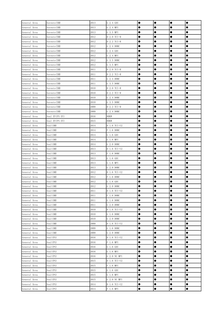| General Area | Sorento (XM)    | 2013 | G 2.4 GDI     | $\bullet$ | $\bullet$ | $\bullet$ | $\bullet$ |
|--------------|-----------------|------|---------------|-----------|-----------|-----------|-----------|
| General Area | Sorento (XM)    | 2013 | G 2.4 MPI     |           |           | 0         | ●         |
| General Area | Sorento (XM)    | 2013 | G 3.5 MPI     |           |           | ●         |           |
| General Area | Sorento (XM)    | 2012 | D 2.0 TCI-R   |           |           |           |           |
| General Area | Sorento (XM)    | 2012 | D 2.2 TCI-R   |           | $\bullet$ |           | $\bullet$ |
| General Area | Sorento (XM)    | 2012 | G 2.4 DOHC    | $\bullet$ | $\bullet$ | $\bullet$ | $\bullet$ |
| General Area | Sorento (XM)    | 2012 | $G$ 2.4 $GDI$ | $\bullet$ | $\bullet$ |           |           |
| General Area | Sorento (XM)    | 2012 | G 2.4 MPI     |           | $\bullet$ | 0         |           |
| General Area | Sorento (XM)    | 2012 | G 3.5 DOHC    |           | $\bullet$ | $\bullet$ |           |
| General Area | Sorento (XM)    | 2012 | G 3.5 MPI     |           | $\bullet$ | 0         |           |
| General Area | Sorento (XM)    | 2011 | D 2.0 TCI-R   |           | $\bullet$ |           | $\bullet$ |
| General Area | Sorento (XM)    | 2011 | D 2.2 TCI-R   | $\bullet$ | $\bullet$ | $\bullet$ | $\bullet$ |
| General Area | Sorento (XM)    | 2011 | G 2.4 DOHC    | $\bullet$ | $\bullet$ | $\bullet$ |           |
| General Area | Sorento (XM)    | 2011 | G 3.5 DOHC    |           | $\bullet$ |           | $\bullet$ |
| General Area | Sorento (XM)    | 2010 | D 2.0 TCI-R   |           |           | 0         |           |
| General Area | Sorento (XM)    | 2010 | D 2.2 TCI-R   |           |           | ●         |           |
| General Area | Sorento (XM)    | 2010 | G 2.4 DOHC    |           |           | ●         |           |
| General Area | Sorento (XM)    | 2010 | G 3.5 DOHC    | $\bullet$ | $\bullet$ |           | $\bullet$ |
| General Area | Sorento (XM)    | 2009 | D 2.2 TCI-R   | $\bullet$ | $\bullet$ |           | $\bullet$ |
| General Area | Sorento (XM)    | 2009 | G 2.4 DOHC    | $\bullet$ | $\bullet$ | $\bullet$ |           |
| General Area | Soul EV (PS EV) | 2016 | 80KW          |           | $\bullet$ | $\bullet$ | $\bullet$ |
| General Area | Soul EV (PS EV) | 2015 | 80KW          |           | $\bullet$ |           |           |
| General Area | Soul (AM)       | 2014 | D 1.6 TCI-U2  |           |           |           |           |
| General Area | Soul (AM)       | 2014 | F 1.6 DOHC    | $\bullet$ | $\bullet$ | $\bullet$ | $\bullet$ |
| General Area | Soul (AM)       | 2014 | G 1.6 GDI     | $\bullet$ | $\bullet$ |           | $\bullet$ |
| General Area | Soul (AM)       | 2014 | G 1.6 MPI     |           |           | 0         |           |
| General Area | Soul (AM)       | 2014 | G 2.0 DOHC    |           | $\bullet$ |           |           |
| General Area | Soul (AM)       | 2013 | D 1.6 TCI-U2  |           |           | ●         |           |
| General Area | Soul (AM)       | 2013 | F 1.6 DOHC    |           |           |           |           |
| General Area | Soul (AM)       | 2013 | G 1.6 GDI     |           |           |           |           |
| General Area | Soul (AM)       | 2013 | G 1.6 MPI     | $\bullet$ | $\bullet$ |           | $\bullet$ |
| General Area | Soul (AM)       | 2013 | G 2.0 DOHC    |           | $\bullet$ | 0         |           |
| General Area | Soul (AM)       | 2012 | D 1.6 TCI-U2  |           | $\bullet$ | 0         |           |
| General Area | Soul (AM)       | 2012 | F 1.6 DOHC    |           | $\bullet$ | $\bullet$ |           |
| General Area | Soul (AM)       | 2012 | G 1.6 GDI     |           |           | 0         |           |
| General Area | Soul (AM)       | 2012 | G 2.0 DOHC    |           |           | e         | e         |
| General Area | Soul (AM)       | 2011 | D 1.6 TCI-U2  | $\bullet$ | $\bullet$ | $\bullet$ | $\bullet$ |
| General Area | Soul (AM)       | 2011 | F 1.6 DOHC    | $\bullet$ | $\bullet$ | 0         | $\bullet$ |
| General Area | Soul (AM)       | 2011 | G 1.6 DOHC    |           | $\bullet$ |           | $\bullet$ |
| General Area | Soul (AM)       | 2011 | G 2.0 DOHC    |           |           | ●         |           |
| General Area | Soul (AM)       | 2010 | D 1.6 TCI-U2  |           |           | ●         | $\bullet$ |
| General Area | Soul (AM)       | 2010 | G 1.6 DOHC    |           |           | ●         |           |
| General Area | Soul (AM)       | 2010 | G 2.0 DOHC    | $\bullet$ | $\bullet$ |           | $\bullet$ |
| General Area | Soul (AM)       | 2009 | D 1.6 TCI-U2  | $\bullet$ | $\bullet$ |           |           |
| General Area | Soul (AM)       | 2009 | G 1.6 DOHC    | $\bullet$ | $\bullet$ | 0         |           |
| General Area | Soul (AM)       | 2009 | G 2.0 DOHC    |           | $\bullet$ | 0         |           |
| General Area | Soul (PS)       | 2016 | D 1.6 TCI-U2  |           | $\bullet$ |           |           |
| General Area | Soul (PS)       | 2016 | F 1.6 MPI     |           |           |           |           |
| General Area | Soul (PS)       | 2016 | G 1.6 GDI     |           | $\bullet$ | $\bullet$ | $\bullet$ |
| General Area | Soul (PS)       | 2016 | G 1.6 MPI     | $\bullet$ | $\bullet$ | $\bullet$ | $\bullet$ |
| General Area | Soul (PS)       | 2016 | G 2.0 NU MPI  | $\bullet$ | $\bullet$ | 0         |           |
| General Area | Soul (PS)       | 2015 | D 1.6 TCI-U2  |           | $\bullet$ | ●         |           |
| General Area | Soul (PS)       | 2015 | F 1.6 MPI     |           | $\bullet$ | ●         | ●         |
| General Area | Soul (PS)       | 2015 | $G_1.6$ GDI   | $\bullet$ | $\bullet$ | $\bullet$ | $\bullet$ |
| General Area | Soul (PS)       | 2015 | G 1.6 MPI     |           | $\bullet$ |           | $\bullet$ |
| General Area | Soul (PS)       | 2015 | G 2.0 NU MPI  | $\bullet$ | $\bullet$ | $\bullet$ | $\bullet$ |
| General Area | Soul (PS)       | 2014 | D 1.6 TCI-U2  | $\bullet$ | $\bullet$ | $\bullet$ | $\bullet$ |
| General Area | Soul (PS)       | 2014 | F 1.6 MPI     | $\bullet$ | $\bullet$ | $\bullet$ | $\bullet$ |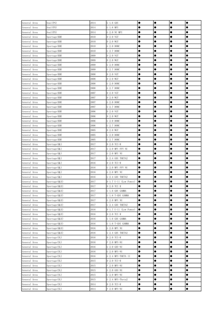| General Area                 | Soul (PS)                        | 2014         | $G_1.6$ GDI                          | $\bullet$ | $\bullet$              | $\bullet$      | $\bullet$      |
|------------------------------|----------------------------------|--------------|--------------------------------------|-----------|------------------------|----------------|----------------|
| General Area                 | Soul (PS)                        | 2014         | G 1.6 MPI                            |           |                        | ●              |                |
| General Area                 | Soul (PS)                        | 2014         | G 2.0 NU MPI                         |           |                        | ●              | $\bullet$      |
| General Area                 | Sportage (KM)                    | 2010         | D 2.0 VGT                            |           |                        | 0              |                |
| General Area                 | Sportage (KM)                    | 2010         | D 2.0 WGT                            | $\bullet$ | $\bullet$              | $\bullet$      | $\bullet$      |
| General Area                 | Sportage (KM)                    | 2010         | G 2.0 DOHC                           | $\bullet$ | $\bullet$              | $\bullet$      | $\bullet$      |
| General Area                 | Sportage (KM)                    | 2010         | G 2.7 DOHC                           | $\bullet$ | $\bullet$              | $\bullet$      | $\bullet$      |
| General Area                 | Sportage (KM)                    | 2009         | D 2.0 VGT                            | $\bullet$ | $\bullet$              | $\bullet$      |                |
| General Area                 | Sportage (KM)                    | 2009         | D 2.0 WGT                            | $\bullet$ | $\bullet$              | $\bullet$      |                |
| General Area                 | Sportage (KM)                    | 2009         | G 2.0 DOHC                           |           | $\bullet$              | 0              | $\bullet$      |
| General Area                 | Sportage (KM)                    | 2009         | G 2.7 DOHC                           |           | $\bullet$              | $\bullet$      | $\bullet$      |
| General Area                 | Sportage (KM)                    | 2008         | D 2.0 VGT                            | $\bullet$ | $\bullet$              | $\bullet$      | $\bullet$      |
| General Area                 | Sportage(KM)                     | 2008         | D 2.0 WGT                            | $\bullet$ | $\bullet$              | 0              | $\bullet$      |
| General Area                 | Sportage (KM)                    | 2008         | G 2.0 DOHC                           |           | $\bullet$              | 0              |                |
| General Area                 | Sportage (KM)                    | 2008         | G 2.7 DOHC                           |           | $\bullet$              | ●              | ●              |
| General Area                 | Sportage(KM)                     | 2007         | D 2.0 VGT                            |           |                        | ●              | $\bullet$      |
| General Area                 | Sportage (KM)                    | 2007         | D 2.0 WGT                            |           | $\bullet$              | $\bullet$      | $\bullet$      |
| General Area                 | Sportage (KM)                    | 2007         | G 2.0 DOHC                           | $\bullet$ | $\bullet$              | $\bullet$      | $\bullet$      |
| General Area                 | Sportage (KM)                    | 2007         | G 2.7 DOHC                           | $\bullet$ | $\bullet$              | $\bullet$      | $\bullet$      |
| General Area                 | Sportage (KM)                    | 2006         | D 2.0 VGT                            | $\bullet$ | $\bullet$              | $\bullet$      | $\bullet$      |
| General Area                 | Sportage (KM)                    | 2006         | D 2.0 WGT                            |           | $\bullet$              | $\bullet$      |                |
| General Area                 | Sportage (KM)                    | 2006         | G 2.0 DOHC                           | $\bullet$ | $\bullet$              | $\bullet$      |                |
| General Area                 | Sportage (KM)                    | 2006         | G 2.7 DOHC                           | 0         |                        | 0              |                |
| General Area                 | Sportage (KM)                    | 2005         | D 2.0 WGT                            | $\bullet$ | $\bullet$              | $\bullet$      | $\bullet$      |
| General Area                 | Sportage (KM)                    | 2005         | G 2.0 DOHC                           | $\bullet$ | $\bullet$              | $\bullet$      | $\bullet$      |
| General Area                 | Sportage(KM)                     | 2005         | G 2.7 DOHC                           | $\bullet$ |                        | 0              |                |
| General Area                 | Sportage (QL)                    | 2017         | D 2.0 TCI-R                          |           | $\bullet$              | 0              | $\bullet$      |
| General Area                 | Sportage (QL)                    | 2017         | G 2.0 MPI FFV NU                     |           |                        | $\bullet$      | $\bullet$      |
| General Area                 | Sportage (QL)                    | 2017         | G 2.0 MPI NU                         |           |                        | 0              |                |
| General Area                 | Sportage (QL)                    | 2017         | G 2.4 GDI THETA2                     |           | $\bullet$              |                | $\bullet$      |
| General Area                 | Sportage (QL)                    | 2016         | D 2.0 TCI-R                          | $\bullet$ | $\bullet$              | $\bullet$      | $\bullet$      |
| General Area                 | Sportage (QL)                    | 2016         | G 2.0 MPI FFV NU                     | $\bullet$ | $\bullet$              | 0              | 0              |
| General Area                 | Sportage (QL)                    | 2016         | G 2.0 MPI NU                         | $\bullet$ | $\bullet$              | 0              |                |
| General Area                 | Sportage (QL)                    | 2016         | G 2.4 GDI THETA2                     | $\bullet$ | $\bullet$              | 0              |                |
| General Area                 | Sportage (QLE)                   | 2017         | D 1.7 U-11 (Low Power)               | $\bullet$ | 0                      | 0              |                |
| General Area                 | Sportage (QLE)                   | 2017         | D 2.0 TCI R                          | $\bullet$ |                        | c<br>$\bullet$ | e<br>$\bullet$ |
| General Area                 | Sportage (QLE)                   | 2017<br>2017 | G 1.6 GDI GAMMA<br>G 1.6 T-GDI GAMMA | $\bullet$ | $\bullet$<br>$\bullet$ | $\bullet$      | $\bullet$      |
| General Area<br>General Area | Sportage (QLE)                   | 2017         | G 2.0 MPI NU                         | $\bullet$ | $\bullet$              |                |                |
| General Area                 | Sportage (QLE)<br>Sportage (QLE) | 2017         | G 2.4 GDI THETA2                     | $\bullet$ |                        | ●<br>●         | $\bullet$      |
| General Area                 |                                  | 2016         | D 1.7 U-11 (Low Power)               | $\bullet$ |                        | $\bullet$      | $\bullet$      |
| General Area                 | Sportage (QLE)<br>Sportage (QLE) | 2016         | D 2.0 TCI R                          |           |                        | ●              | $\bullet$      |
| General Area                 | Sportage (QLE)                   | 2016         | G 1.6 GDI GAMMA                      | $\bullet$ | $\bullet$              | $\bullet$      | $\bullet$      |
| General Area                 | Sportage (QLE)                   | 2016         | G 1.6 T-GDI GAMMA                    | $\bullet$ | $\bullet$              |                | $\bullet$      |
| General Area                 | Sportage (QLE)                   | 2016         | G 2.0 MPI NU                         | $\bullet$ | $\bullet$              | 0              |                |
| General Area                 | Sportage (QLE)                   | 2016         | G 2.4 GDI THETA2                     | $\bullet$ | $\bullet$              | 0              | $\bullet$      |
| General Area                 | Sportage (SL)                    | 2016         | D 2.0 TCI-R                          | $\bullet$ |                        | $\bullet$      |                |
| General Area                 | Sportage (SL)                    | 2016         | F 2.0 MPI-NU                         |           |                        | 0              | $\bullet$      |
| General Area                 | Sportage (SL)                    | 2016         | G 2.0 GDI-NU                         |           | $\bullet$              |                | $\bullet$      |
| General Area                 | Sportage (SL)                    | 2016         | G 2.0 MPI-NU                         | $\bullet$ | $\bullet$              | $\bullet$      | $\bullet$      |
| General Area                 | Sportage (SL)                    | 2016         | G 2.4 MPI-THETA II                   | $\bullet$ | $\bullet$              | $\bullet$      | $\bullet$      |
| General Area                 | Sportage (SL)                    | 2015         | D 2.0 TCI-R                          | $\bullet$ | $\bullet$              | ●              |                |
| General Area                 | Sportage (SL)                    | 2015         | F 2.0 MPI-NU                         |           | $\bullet$              | ●              |                |
| General Area                 | Sportage (SL)                    | 2015         | G 2.0 GDI-NU                         | $\bullet$ | $\bullet$              | $\bullet$      | $\bullet$      |
| General Area                 | Sportage (SL)                    | 2015         | G 2.0 MPI-NU                         | $\bullet$ | $\bullet$              |                | $\bullet$      |
| General Area                 | Sportage (SL)                    | 2015         | G 2.4 MPI-Theta2                     | $\bullet$ | $\bullet$              | $\bullet$      | $\bullet$      |
| General Area                 | Sportage (SL)                    | 2014         | D 2.0 TCI-R                          | $\bullet$ | $\bullet$              | $\bullet$      | $\bullet$      |
| General Area                 | Sportage (SL)                    | 2014         | F 2.0 MPI-NU                         | $\bullet$ | $\bullet$              | $\bullet$      | $\bullet$      |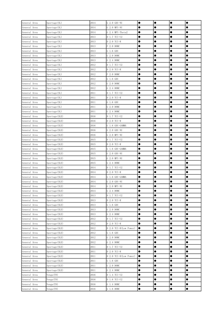| General Area                 | Sportage (SL)                    | 2014         | G 2.0 GDI-NU                | $\bullet$ | $\bullet$              | $\bullet$      | $\bullet$ |
|------------------------------|----------------------------------|--------------|-----------------------------|-----------|------------------------|----------------|-----------|
| General Area                 | Sportage (SL)                    | 2014         | G 2.0 MPI-NU                |           |                        | 0              |           |
| General Area                 | Sportage (SL)                    | 2014         | G 2.4 MPI-Theta2            |           |                        | 0              |           |
| General Area                 | Sportage (SL)                    | 2013         | D 1.7 TCI-U2                |           | $\bullet$              | $\bullet$      | $\bullet$ |
| General Area                 | Sportage (SL)                    | 2013         | D 2.0 TCI-R                 | $\bullet$ | $\bullet$              | $\bullet$      | $\bullet$ |
| General Area                 | Sportage (SL)                    | 2013         | F 2.0 DOHC                  | $\bullet$ | $\bullet$              | 0              | 0         |
| General Area                 | Sportage (SL)                    | 2013         | G 1.6 GDI                   | $\bullet$ | $\bullet$              | 0              |           |
| General Area                 | Sportage (SL)                    | 2013         | G 2.0 DOHC                  | $\bullet$ | $\bullet$              | 0              |           |
| General Area                 | Sportage (SL)                    | 2013         | G 2.4 DOHC                  | $\bullet$ | $\bullet$              | 0              | $\bullet$ |
| General Area                 | Sportage (SL)                    | 2012         | D 1.7 TCI-U2                |           | $\bullet$              | 0              | $\bullet$ |
| General Area                 | Sportage (SL)                    | 2012         | D 2.0 TCI-R                 | $\bullet$ | $\bullet$              | $\bullet$      | $\bullet$ |
| General Area                 | Sportage (SL)                    | 2012         | F 2.0 DOHC                  | $\bullet$ | $\bullet$              | $\bullet$      | $\bullet$ |
| General Area                 | Sportage (SL)                    | 2012         | $G_1.6$ GDI                 | $\bullet$ | $\bullet$              | 0              |           |
| General Area                 | Sportage (SL)                    | 2012         | G 2.0 DOHC                  |           | $\bullet$              | $\bullet$      |           |
| General Area                 | Sportage (SL)                    | 2012         | G 2.4 DOHC                  | $\bullet$ | $\bullet$              | $\bullet$      |           |
| General Area                 | Sportage (SL)                    | 2011         | D 1.7 TCI-U2                |           |                        | 0              |           |
| General Area                 | Sportage (SL)                    | 2011         | D 2.0 TCI-R                 | $\bullet$ | $\bullet$              | $\bullet$      | $\bullet$ |
| General Area                 | Sportage (SL)                    | 2011         | G 1.6 GDI                   | $\bullet$ | $\bullet$              | $\bullet$      | $\bullet$ |
| General Area                 | Sportage (SL)                    | 2011         | G 2.0 DOHC                  | $\bullet$ | $\bullet$              | $\bullet$      | 0         |
| General Area                 | Sportage (SL)                    | 2011         | G 2.4 DOHC                  | $\bullet$ | $\bullet$              | $\bullet$      | $\bullet$ |
| General Area                 | Sportage (SLE)                   | 2016         | D 1.7 TCI-U2                | $\bullet$ | $\bullet$              | $\bullet$      | $\bullet$ |
| General Area                 | Sportage (SLE)                   | 2016         | D 2.0 TCI-R                 |           |                        | 0              |           |
| General Area                 | Sportage (SLE)                   | 2016         | G 1.6 GDI-GAMMA             |           | $\bullet$              | $\bullet$      | $\bullet$ |
| General Area                 | Sportage (SLE)                   | 2016         | G 2.0 GDI-NU                | $\bullet$ | $\bullet$              | $\bullet$      | $\bullet$ |
| General Area                 | Sportage (SLE)                   | 2016         | G 2.0 MPI-NU                | $\bullet$ | $\bullet$              | 0              |           |
| General Area                 | Sportage (SLE)                   | 2015         | D 1.7 TCI-U2                |           | $\bullet$              | 0              |           |
| General Area                 | Sportage (SLE)                   | 2015         | D 2.0 TCI-R                 | $\bullet$ | $\bullet$              | 0              | $\bullet$ |
| General Area                 | Sportage (SLE)                   | 2015         | G 1.6 GDI-GAMMA             |           | $\bullet$              | 0              |           |
| General Area                 | Sportage (SLE)                   | 2015         | G 2.0 GDI-NU                |           | $\bullet$              | 0              | $\bullet$ |
| General Area                 | Sportage (SLE)                   | 2015         | G 2.0 MPI-NU                | $\bullet$ | $\bullet$              | $\bullet$      | $\bullet$ |
| General Area                 | Sportage (SLE)                   | 2015         | G 2.4 DOHC                  | $\bullet$ | $\bullet$              | $\bullet$      | $\bullet$ |
| General Area<br>General Area | Sportage (SLE)                   | 2014<br>2014 | D 1.7 TCI-U2<br>D 2.0 TCI-R | $\bullet$ | $\bullet$<br>$\bullet$ | $\bullet$<br>0 |           |
| General Area                 | Sportage (SLE)<br>Sportage (SLE) | 2014         | G 1.6 GDI-GAMMA             | $\bullet$ |                        | $\bullet$      | $\bullet$ |
| General Area                 | Sportage (SLE)                   | 2014         | G 2.0 GDI-NU                | 0         |                        | 0              |           |
| General Area                 | Sportage (SLE)                   | 2014         | G 2.0 MPI-NU                |           | $\bullet$              | e              |           |
| General Area                 | Sportage (SLE)                   | 2014         | G 2.4 DOHC                  | $\bullet$ | $\bullet$              | $\bullet$      | $\bullet$ |
| General Area                 | Sportage (SLE)                   | 2013         | D 1.7 TCI-U2                | $\bullet$ |                        | 0              |           |
| General Area                 | Sportage (SLE)                   | 2013         | $D 2.0 TCI-R$               | $\bullet$ | $\bullet$              | ●              |           |
| General Area                 | Sportage (SLE)                   | 2013         | G 1.6 GDI                   |           | $\bullet$              | $\bullet$      | $\bullet$ |
| General Area                 | Sportage (SLE)                   | 2013         | G 2.0 DOHC                  |           |                        | $\bullet$      | $\bullet$ |
| General Area                 | Sportage (SLE)                   | 2013         | G 2.4 DOHC                  | $\bullet$ | $\bullet$              |                | $\bullet$ |
| General Area                 | Sportage (SLE)                   | 2012         | D 1.7 TCI-U2                | $\bullet$ | $\bullet$              | $\bullet$      | $\bullet$ |
| General Area                 | Sportage (SLE)                   | 2012         | D 2.0 TCI-R                 | $\bullet$ | $\bullet$              | $\bullet$      |           |
| General Area                 | Sportage (SLE)                   | 2012         | D 2.0 TCI-R(Low Power)      | $\bullet$ | $\bullet$              | 0              |           |
| General Area                 | Sportage (SLE)                   | 2012         | $G_1.6$ GDI                 | $\bullet$ | $\bullet$              | $\bullet$      |           |
| General Area                 | Sportage (SLE)                   | 2012         | G 2.0 DOHC                  | $\bullet$ | $\bullet$              | 0              | $\bullet$ |
| General Area                 | Sportage (SLE)                   | 2012         | G 2.4 DOHC                  |           | $\bullet$              | $\bullet$      | $\bullet$ |
| General Area                 | Sportage (SLE)                   | 2011         | D 1.7 TCI-U2                | $\bullet$ | $\bullet$              | $\bullet$      | $\bullet$ |
| General Area                 | Sportage (SLE)                   | 2011         | D 2.0 TCI-R                 | $\bullet$ | $\bullet$              | $\bullet$      | $\bullet$ |
| General Area                 | Sportage (SLE)                   | 2011         | D 2.0 TCI-R(Low Power)      | $\bullet$ | $\bullet$              | $\bullet$      | $\bullet$ |
| General Area                 | Sportage (SLE)                   | 2011         | $G_1.6$ GDI                 | $\bullet$ | $\bullet$              | ●              | ●         |
| General Area                 | Sportage (SLE)                   | 2011         | G 2.0 DOHC                  | $\bullet$ | $\bullet$              | $\bullet$      | $\bullet$ |
| General Area                 | Sportage (SLE)                   | 2011         | G 2.4 DOHC                  | $\bullet$ | $\bullet$              | $\bullet$      | $\bullet$ |
| General Area                 | Venga (YN)                       | 2016         | D 1.4 TCI-U2                | $\bullet$ | $\bullet$              | $\bullet$      | $\bullet$ |
| General Area                 | Venga (YN)                       | 2016         | D 1.6 TCI-U2                | $\bullet$ | $\bullet$              | $\bullet$      | $\bullet$ |
| General Area                 | Venga (YN)                       | 2016         | G 1.4 DOHC                  | $\bullet$ | $\bullet$              | $\bullet$      |           |
| General Area                 | Venga (YN)                       | 2016         | G 1.6 DOHC                  | $\bullet$ | $\bullet$              | $\bullet$      | $\bullet$ |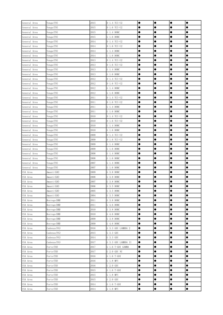| General Area | Venga (YN)   | 2015 | D 1.4 TCI-U2        | $\bullet$ | $\bullet$ | $\bullet$ | $\bullet$ |
|--------------|--------------|------|---------------------|-----------|-----------|-----------|-----------|
| General Area | Venga (YN)   | 2015 | D 1.6 TCI-U2        |           |           | 0         |           |
| General Area | Venga (YN)   | 2015 | G 1.4 DOHC          |           | $\bullet$ | $\bullet$ |           |
| General Area | Venga (YN)   | 2015 | G 1.6 DOHC          |           | $\bullet$ |           | $\bullet$ |
| General Area | Venga (YN)   | 2014 | D 1.4 TCI-U2        | $\bullet$ | $\bullet$ | $\bullet$ | $\bullet$ |
| General Area | Venga (YN)   | 2014 | D 1.6 TCI-U2        | $\bullet$ | $\bullet$ | $\bullet$ | $\bullet$ |
| General Area | Venga (YN)   | 2014 | G 1.4 DOHC          | $\bullet$ | $\bullet$ | $\bullet$ |           |
| General Area | Venga (YN)   | 2014 | G 1.6 DOHC          | $\bullet$ | $\bullet$ | $\bullet$ |           |
| General Area | Venga (YN)   | 2013 | D 1.4 TCI-U2        | $\bullet$ | $\bullet$ | $\bullet$ | $\bullet$ |
| General Area | Venga (YN)   | 2013 | D 1.6 TCI-U2        |           | $\bullet$ | $\bullet$ | $\bullet$ |
| General Area | Venga(YN)    | 2013 | G 1.4 DOHC          | $\bullet$ | $\bullet$ | $\bullet$ | $\bullet$ |
| General Area | Venga (YN)   | 2013 | G 1.6 DOHC          | $\bullet$ | $\bullet$ | $\bullet$ | $\bullet$ |
| General Area | Venga (YN)   | 2012 | D 1.4 TCI-U2        |           | $\bullet$ | 0         | $\bullet$ |
| General Area | Venga (YN)   | 2012 | D 1.6 TCI-U2        |           | $\bullet$ | $\bullet$ |           |
| General Area | Venga (YN)   | 2012 | G 1.4 DOHC          |           | $\bullet$ | $\bullet$ | $\bullet$ |
| General Area | Venga (YN)   | 2012 | G 1.6 DOHC          |           |           | ●         |           |
| General Area | Venga (YN)   | 2011 | D 1.4 TCI-U2        | $\bullet$ | $\bullet$ | $\bullet$ | $\bullet$ |
| General Area | Venga (YN)   | 2011 | D 1.6 TCI-U2        | $\bullet$ | $\bullet$ | $\bullet$ | $\bullet$ |
| General Area | Venga (YN)   | 2011 | G 1.4 DOHC          | $\bullet$ | $\bullet$ | $\bullet$ | $\bullet$ |
| General Area | Venga (YN)   | 2011 | G 1.6 DOHC          | $\bullet$ | $\bullet$ | $\bullet$ | $\bullet$ |
| General Area | Venga (YN)   | 2010 | D 1.4 TCI-U2        | $\bullet$ | $\bullet$ | $\bullet$ | $\bullet$ |
| General Area | Venga (YN)   | 2010 | D 1.6 TCI-U2        |           |           | 0         |           |
| General Area | Venga (YN)   | 2010 | G 1.4 DOHC          | $\bullet$ | $\bullet$ | $\bullet$ | $\bullet$ |
| General Area | Venga (YN)   | 2010 | G 1.6 DOHC          | $\bullet$ | $\bullet$ | $\bullet$ | $\bullet$ |
| General Area | Venga (YN)   | 2009 | D 1.4 TCI-U2        | $\bullet$ | $\bullet$ | $\bullet$ | $\bullet$ |
| General Area | Venga (YN)   | 2009 | D 1.6 TCI-U2        |           | $\bullet$ | ●         | $\bullet$ |
| General Area | Venga (YN)   | 2009 | G 1.4 DOHC          | $\bullet$ | $\bullet$ | $\bullet$ | $\bullet$ |
| General Area | Venga (YN)   | 2009 | G 1.6 DOHC          | $\bullet$ | $\bullet$ | $\bullet$ |           |
| General Area | Venga (YN)   | 2008 | G 1.4 DOHC          |           | $\bullet$ | $\bullet$ | $\bullet$ |
| General Area | Venga (YN)   | 2008 | G 1.6 DOHC          | $\bullet$ | $\bullet$ | $\bullet$ | $\bullet$ |
| General Area | Venga (YN)   | 2007 | G 1.4 DOHC          | $\bullet$ | $\bullet$ | $\bullet$ | $\bullet$ |
| General Area | Venga (YN)   | 2007 | G 1.6 DOHC          | $\bullet$ | $\bullet$ | $\bullet$ |           |
| USA Area     | Amanti (GH)  | 2009 | G 3.8 DOHC          |           | $\bullet$ | $\bullet$ |           |
| USA Area     | Amanti (GH)  | 2008 | G 3.8 DOHC          | $\bullet$ | $\bullet$ | $\bullet$ |           |
| USA Area     | Amanti(GH)   | 2007 | G 3.8 DOHC          |           |           | 0         |           |
| USA Area     | Amanti (GH)  | 2006 | G 3.5 DOHC          |           | $\bullet$ |           |           |
| USA Area     | Amanti (GH)  | 2005 | G 3.5 DOHC          | $\bullet$ | $\bullet$ | $\bullet$ | $\bullet$ |
| USA Area     | Amanti (GH)  | 2004 | G 3.5 DOHC          | $\bullet$ | $\bullet$ | 0         |           |
| USA Area     | Borrego (HM) | 2011 | G 3.8 DOHC          | $\bullet$ | $\bullet$ | $\bullet$ | $\bullet$ |
| USA Area     | Borrego (HM) | 2011 | G 4.6 DOHC          |           | $\bullet$ | $\bullet$ | $\bullet$ |
| USA Area     | Borrego (HM) | 2010 | G 3.8 DOHC          |           |           | $\bullet$ | $\bullet$ |
| USA Area     | Borrego (HM) | 2010 | G 4.6 DOHC          | $\bullet$ | $\bullet$ |           | $\bullet$ |
| USA Area     | Borrego (HM) | 2009 | G 3.8 DOHC          | $\bullet$ | $\bullet$ | $\bullet$ | $\bullet$ |
| USA Area     | Borrego (HM) | 2009 | G 4.6 DOHC          | $\bullet$ | $\bullet$ | $\bullet$ | $\bullet$ |
| USA Area     | Cadenza (VG) | 2016 | G 3.3 GDI LAMBDA 2  | $\bullet$ | $\bullet$ | $\bullet$ |           |
| USA Area     | Cadenza (VG) | 2015 | $G$ 3.3 $GDI$       | $\bullet$ | $\bullet$ |           | $\bullet$ |
| USA Area     | Cadenza (VG) | 2014 | $G$ 3.3 $GDI$       | $\bullet$ | $\bullet$ | $\bullet$ | $\bullet$ |
| USA Area     | Cadenza (YG) | 2017 | G 3.3 GDI LAMBDA II | $\bullet$ | $\bullet$ | $\bullet$ | $\bullet$ |
| USA Area     | Forte (YD)   | 2017 | G 1.6 T-GDI GAMMA   | $\bullet$ | $\bullet$ | $\bullet$ | $\bullet$ |
| USA Area     | Forte (YD)   | 2017 | G 2.0 GDI NU        | $\bullet$ | $\bullet$ | $\bullet$ | $\bullet$ |
| USA Area     | Forte (YD)   | 2016 | $G$ 1.6 T-GDI       | $\bullet$ | $\bullet$ | $\bullet$ | $\bullet$ |
| USA Area     | Forte (YD)   | 2016 | G 1.8 MPI           |           | $\bullet$ | $\bullet$ |           |
| USA Area     | Forte (YD)   | 2016 | $G$ 2.0 $GDI$       | $\bullet$ | $\bullet$ | $\bullet$ | $\bullet$ |
| USA Area     | Forte (YD)   | 2015 | G 1.6 T-GDI         | $\bullet$ | $\bullet$ | $\bullet$ | $\bullet$ |
| USA Area     | Forte (YD)   | 2015 | G 1.8 MPI           | $\bullet$ | $\bullet$ | $\bullet$ | $\bullet$ |
| USA Area     | Forte (YD)   | 2015 | G 2.0 GDI           | $\bullet$ | $\bullet$ | $\bullet$ | $\bullet$ |
| USA Area     | Forte (YD)   | 2014 | G 1.6 T-GDI         | $\bullet$ | $\bullet$ | $\bullet$ | $\bullet$ |
| USA Area     | Forte (YD)   | 2014 | G 1.8 MPI           | $\bullet$ | $\bullet$ | $\bullet$ | $\bullet$ |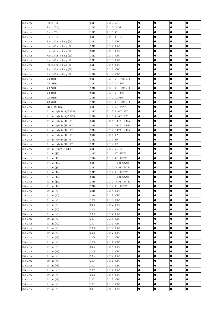| USA Area | Forte (YD)             | 2014 | $G$ 2.0 $GDI$       | $\bullet$ | $\bullet$ | $\bullet$ | $\bullet$ |
|----------|------------------------|------|---------------------|-----------|-----------|-----------|-----------|
| USA Area | Forte(YDm)             | 2017 | $G$ 1.6 T-GDI       | 0         |           | 0         |           |
| USA Area | Forte(YDm)             | 2017 | G 2.0 GDI           | $\bullet$ |           | $\bullet$ | $\bullet$ |
| USA Area | Forte (YDm)            | 2017 | G 2.0 MPI NU        | ●         | $\bullet$ | 0         |           |
| USA Area | Forte/Forte Koup(TD)   | 2013 | G 2.0 DOHC          | $\bullet$ | $\bullet$ | $\bullet$ | $\bullet$ |
| USA Area | Forte/Forte Koup(TD)   | 2013 | G 2.4 DOHC          | $\bullet$ | $\bullet$ | $\bullet$ | $\bullet$ |
| USA Area | Forte/Forte Koup(TD)   | 2012 | G 2.0 DOHC          | $\bullet$ | $\bullet$ | $\bullet$ | $\bullet$ |
| USA Area | Forte/Forte Koup(TD)   | 2012 | G 2.4 DOHC          | $\bullet$ | $\bullet$ | $\bullet$ |           |
| USA Area | Forte/Forte Koup(TD)   | 2011 | G 2.0 DOHC          | $\bullet$ | $\bullet$ | $\bullet$ |           |
| USA Area | Forte/Forte Koup(TD)   | 2011 | G 2.4 DOHC          | $\bullet$ | $\bullet$ | $\bullet$ | $\bullet$ |
| USA Area | Forte/Forte Koup(TD)   | 2010 | G 2.0 DOHC          | $\bullet$ | $\bullet$ | $\bullet$ | $\bullet$ |
| USA Area | Forte/Forte Koup(TD)   | 2010 | G 2.4 DOHC          | $\bullet$ | $\bullet$ | $\bullet$ | $\bullet$ |
| USA Area | K900 (KH)              | 2017 | G 3.8 GDI LAMBDA II | $\bullet$ | $\bullet$ | 0         | $\bullet$ |
| USA Area | K901 (KH)              | 2017 | G 5.0 GDI TAU       |           | $\bullet$ | $\bullet$ |           |
| USA Area | K902 (KH)              | 2016 | G 3.8 GDI LAMBDA II |           | $\bullet$ | 0         | ●         |
| USA Area | K903 (KH)              | 2016 | G 5.0 GDI TAU       | $\bullet$ | $\bullet$ | $\bullet$ | $\bullet$ |
| USA Area | K904 (KH)              | 2015 | G 5.0 GDI-TAU       | ●         | $\bullet$ | $\bullet$ | $\bullet$ |
| USA Area | K905 (KH)              | 2015 | G 3.8 GDI-LAMBDA II | $\bullet$ | $\bullet$ | $\bullet$ | $\bullet$ |
| USA Area | Niro (DE HEV)          | 2017 | G 1.6 GDI KAPPA     | $\bullet$ | $\bullet$ | $\bullet$ | $\bullet$ |
| USA Area | Optima Hybrid (JF HEV) | 2017 | G 2.0 NU GDI HEV    | $\bullet$ | $\bullet$ | $\bullet$ | $\bullet$ |
| USA Area | Optima Hybrid (JF HEV) | 2016 | G 2.0 NU GDI HEV    | $\bullet$ | $\bullet$ | $\bullet$ |           |
| USA Area | Optima Hybrid(TF HEV)  | 2016 | G 2.4 THETA II HEV  | $\bullet$ | $\bullet$ | $\bullet$ |           |
| USA Area | Optima Hybrid(TF HEV)  | 2015 | G 2.4 THETA II HEV  | $\bullet$ |           | 0         |           |
| USA Area | Optima Hybrid(TF HEV)  | 2014 | G 2.4 THETA II HEV  | $\bullet$ | $\bullet$ | $\bullet$ | $\bullet$ |
| USA Area | Optima Hybrid(TF HEV)  | 2013 | G 2.4 HEV           | $\bullet$ | $\bullet$ | $\bullet$ | $\bullet$ |
| USA Area | Optima Hybrid(TF HEV)  | 2012 | G 2.4 HEV           | $\bullet$ | $\bullet$ | 0         |           |
| USA Area | Optima Hybrid(TF HEV)  | 2011 | G 2.4 HEV           | 0         | $\bullet$ |           | ●         |
| USA Area | Optima PHEV(JF PHEV)   | 2017 | G 2.0 GDI NU        | $\bullet$ |           | $\bullet$ | $\bullet$ |
| USA Area | Optima(JF)             | 2017 | G 2.4 GDI THETA2    | ●         |           | 0         |           |
| USA Area | Optima(JF)             | 2016 | G 2.4 GDI THETA2    | $\bullet$ | $\bullet$ | $\bullet$ | $\bullet$ |
| USA Area | Optima(JFA)            | 2017 | G 1.6 T-GDI GAMMA   | $\bullet$ | $\bullet$ | $\bullet$ | $\bullet$ |
| USA Area | Optima(JFA)            | 2017 | G 2.0 T-GDI THETA2  | $\bullet$ | $\bullet$ | 0         | $\bullet$ |
| USA Area | Optima(JFA)            | 2017 | G 2.4 GDI THETA2    | $\bullet$ | $\bullet$ | $\bullet$ |           |
| USA Area | Optima(JFA)            | 2016 | G 1.6 T-GDI GAMMA   | $\bullet$ | $\bullet$ | $\bullet$ |           |
| USA Area | Optima(JFA)            | 2016 | G 2.0 T-GDI THETA2  | $\bullet$ |           | 0         | $\bullet$ |
| USA Area | Optima(JFA)            | 2016 | G 2.4 GDI THETA2    | ●         | $\bullet$ | e         | Œ         |
| USA Area | Optima(MG)             | 2010 | G 2.4 DOHC          | $\bullet$ | $\bullet$ | $\bullet$ | $\bullet$ |
| USA Area | Optima(MG)             | 2010 | G 2.7 DOHC          | $\bullet$ | $\bullet$ | $\bullet$ | $\bullet$ |
| USA Area | Optima(MG)             | 2009 | G 2.4 DOHC          | $\bullet$ | $\bullet$ | $\bullet$ | $\bullet$ |
| USA Area | Optima(MG)             | 2009 | G 2.7 DOHC          |           | $\bullet$ | $\bullet$ | $\bullet$ |
| USA Area | Optima(MG)             | 2008 | G 2.4 DOHC          | $\bullet$ | $\bullet$ | $\bullet$ | $\bullet$ |
| USA Area | Optima(MG)             | 2008 | G 2.7 DOHC          | $\bullet$ |           | ●         | $\bullet$ |
| USA Area | Optima(MG)             | 2007 | G 2.4 DOHC          | $\bullet$ | $\bullet$ | $\bullet$ | $\bullet$ |
| USA Area | Optima (MG)            | 2007 | G 2.7 DOHC          | $\bullet$ | $\bullet$ | $\bullet$ | $\bullet$ |
| USA Area | Optima(MG)             | 2006 | G 2.4 DOHC          | $\bullet$ | $\bullet$ | $\bullet$ | $\bullet$ |
| USA Area | Optima(MG)             | 2006 | G 2.7 DOHC          | $\bullet$ | $\bullet$ | $\bullet$ | $\bullet$ |
| USA Area | Optima(MS)             | 2006 | G 2.4 DOHC          | $\bullet$ | $\bullet$ | $\bullet$ | $\bullet$ |
| USA Area | Optima(MS)             | 2006 | G 2.7 DOHC          | $\bullet$ | $\bullet$ | $\bullet$ | $\bullet$ |
| USA Area | Optima(MS)             | 2005 | G 2.4 DOHC          | $\bullet$ | $\bullet$ | $\bullet$ | $\bullet$ |
| USA Area | Optima (MS)            | 2005 | G 2.7 DOHC          | $\bullet$ | $\bullet$ | $\bullet$ | $\bullet$ |
| USA Area | Optima(MS)             | 2004 | G 2.4 DOHC          | $\bullet$ | $\bullet$ | $\bullet$ | $\bullet$ |
| USA Area | Optima(MS)             | 2004 | G 2.7 DOHC          | $\bullet$ | $\bullet$ | $\bullet$ | $\bullet$ |
| USA Area | Optima(MS)             | 2003 | G 2.4 DOHC          | $\bullet$ | $\bullet$ | $\bullet$ | $\bullet$ |
| USA Area | Optima(MS)             | 2003 | G 2.7 DOHC          | $\bullet$ | $\bullet$ | $\bullet$ | $\bullet$ |
| USA Area | Optima(MS)             | 2002 | G 2.4 DOHC          | $\bullet$ | $\bullet$ | $\bullet$ | $\bullet$ |
| USA Area | Optima(MS)             | 2002 | G 2.7 DOHC          | $\bullet$ | $\bullet$ | $\bullet$ | $\bullet$ |
| USA Area | Optima(MS)             | 2001 | G 2.4 DOHC          | $\bullet$ | $\bullet$ | $\bullet$ | $\bullet$ |
| USA Area | Optima (MS)            | 2001 | G 2.5 DOHC          | $\bullet$ | $\bullet$ | $\bullet$ | $\bullet$ |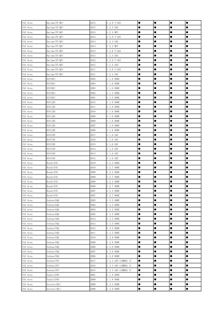| USA Area | 0ptima(TF/QF) | 2015 | G 2.0 T-GDI         | $\bullet$ | $\bullet$ | $\bullet$ | $\bullet$ |
|----------|---------------|------|---------------------|-----------|-----------|-----------|-----------|
| USA Area | Optima(TF/QF) | 2015 | $G$ 2.4 $GDI$       |           |           | c         |           |
| USA Area | Optima(TF/QF) | 2015 | G 2.4 MPI           |           | $\bullet$ | ●         | ●         |
| USA Area | Optima(TF/QF) | 2014 | G 2.0 T-GDI         | $\bullet$ | $\bullet$ | $\bullet$ | $\bullet$ |
| USA Area | 0ptima(TF/QF) | 2014 | $G$ 2.4 $GDI$       | $\bullet$ | $\bullet$ | $\bullet$ | $\bullet$ |
| USA Area | 0ptima(TF/QF) | 2014 | G 2.4 MPI           | $\bullet$ | $\bullet$ | $\bullet$ | $\bullet$ |
| USA Area | 0ptima(TF/QF) | 2013 | G 2.0 T-GDI         | $\bullet$ | $\bullet$ | $\bullet$ | $\bullet$ |
| USA Area | 0ptima(TF/QF) | 2013 | G 2.4 GDI           | $\bullet$ | $\bullet$ | $\bullet$ | $\bullet$ |
| USA Area | 0ptima(TF/QF) | 2012 | G 2.0 T-GDI         | $\bullet$ | $\bullet$ | $\bullet$ | $\bullet$ |
| USA Area | Optima(TF/QF) | 2012 | $G$ 2.4 $GDI$       | $\bullet$ | $\bullet$ | $\bullet$ |           |
| USA Area | 0ptima(TF/QF) | 2011 | G 2.0 T-GDI         | $\bullet$ | $\bullet$ | $\bullet$ | $\bullet$ |
| USA Area | Optima(TF/QF) | 2011 | $G$ 2.4 $GDI$       | $\bullet$ | $\bullet$ | $\bullet$ | $\bullet$ |
| USA Area | RIO(BC)       | 2005 | G 1.6 DOHC          | $\bullet$ | $\bullet$ | $\bullet$ | $\bullet$ |
| USA Area | RIO(BC)       | 2004 | G 1.6 DOHC          | $\bullet$ | $\bullet$ | $\bullet$ | $\bullet$ |
| USA Area | RIO(BC)       | 2003 | G 1.6 DOHC          | $\bullet$ | $\bullet$ | $\bullet$ | $\bullet$ |
| USA Area | RIO(BC)       | 2002 | G 1.5 DOHC          |           | $\bullet$ | $\bullet$ |           |
| USA Area | RIO(BC)       | 2001 | G 1.5 DOHC          | $\bullet$ | $\bullet$ | $\bullet$ | $\bullet$ |
| USA Area | RIO(JB)       | 2012 | G 1.6 DOHC          | $\bullet$ | $\bullet$ | $\bullet$ | $\bullet$ |
| USA Area | RIO(JB)       | 2011 | G 1.6 DOHC          | $\bullet$ | $\bullet$ | $\bullet$ | $\bullet$ |
| USA Area | RIO(JB)       | 2010 | G 1.6 DOHC          | $\bullet$ | $\bullet$ | $\bullet$ | $\bullet$ |
| USA Area | RIO(JB)       | 2009 | G 1.6 DOHC          | $\bullet$ | $\bullet$ | $\bullet$ | $\bullet$ |
| USA Area | RIO(JB)       | 2008 | G 1.6 DOHC          | $\bullet$ | $\bullet$ | $\bullet$ | $\bullet$ |
| USA Area | RIO(JB)       | 2007 | G 1.6 DOHC          | $\bullet$ | $\bullet$ | $\bullet$ |           |
| USA Area | RIO(JB)       | 2006 | G 1.6 DOHC          | $\bullet$ | $\bullet$ | $\bullet$ | $\bullet$ |
| USA Area | RIO (UB)      | 2017 | $G_1.6$ GDI         | $\bullet$ | $\bullet$ | $\bullet$ | $\bullet$ |
| USA Area | RIO (UB)      | 2016 | $G_1.6$ GDI         | $\bullet$ | $\bullet$ | $\bullet$ | $\bullet$ |
| USA Area | RIO(UB)       | 2015 | $G_1.6$ GDI         | $\bullet$ | $\bullet$ | 0         |           |
| USA Area | RIO(UB)       | 2014 | $G_1.6$ GDI         | $\bullet$ | $\bullet$ | $\bullet$ | $\bullet$ |
| USA Area | RIO(UB)       | 2013 | $G_1.6$ GDI         | $\bullet$ | $\bullet$ | $\bullet$ | $\bullet$ |
| USA Area | RIO(UB)       | 2012 | $G_1.6$ GDI         |           |           | ●         |           |
| USA Area | Rondo (UN)    | 2010 | G 2.4 DOHC          | $\bullet$ | $\bullet$ | $\bullet$ | $\bullet$ |
| USA Area | Rondo (UN)    | 2010 | G 2.7 DOHC          | $\bullet$ | $\bullet$ | $\bullet$ | $\bullet$ |
| USA Area | Rondo (UN)    | 2009 | G 2.4 DOHC          | $\bullet$ | $\bullet$ | $\bullet$ | $\bullet$ |
| USA Area | Rondo (UN)    | 2009 | G 2.7 DOHC          | $\bullet$ | $\bullet$ | $\bullet$ |           |
| USA Area | Rondo (UN)    | 2008 | G 2.4 DOHC          |           |           | 0         |           |
| USA Area | Rondo (UN)    | 2008 | G 2.7 DOHC          |           | $\bullet$ | e         | 0         |
| USA Area | Rondo (UN)    | 2007 | G 2.4 DOHC          | $\bullet$ | $\bullet$ | $\bullet$ | $\bullet$ |
| USA Area | Rondo (UN)    | 2007 | G 2.7 DOHC          | $\bullet$ | $\bullet$ | 0         | $\bullet$ |
| USA Area | Sedona (GQ)   | 2005 | G 3.5 DOHC          | $\bullet$ | $\bullet$ | $\bullet$ | $\bullet$ |
| USA Area | Sedona (GQ)   | 2004 | G 3.5 DOHC          |           | $\bullet$ | ●         | $\bullet$ |
| USA Area | Sedona (GQ)   | 2003 | G 3.5 DOHC          |           | $\bullet$ | ●         | $\bullet$ |
| USA Area | Sedona (GQ)   | 2002 | G 3.5 DOHC          | $\bullet$ | $\bullet$ | $\bullet$ | $\bullet$ |
| USA Area | Sedona (VQ)   | 2014 | G 3.5 DOHC          |           | $\bullet$ | ●         |           |
| USA Area | Sedona (VQ)   | 2013 | G 3.5 DOHC          | $\bullet$ | $\bullet$ | $\bullet$ | $\bullet$ |
| USA Area | Sedona (VQ)   | 2012 | G 3.5 DOHC          | $\bullet$ | $\bullet$ | $\bullet$ | $\bullet$ |
| USA Area | Sedona (VQ)   | 2011 | G 3.5 DOHC          | $\bullet$ | $\bullet$ | 0         |           |
| USA Area | Sedona (VQ)   | 2010 | G 3.8 DOHC          |           | $\bullet$ | $\bullet$ |           |
| USA Area | Sedona (VQ)   | 2009 | G 3.8 DOHC          | $\bullet$ | $\bullet$ |           | $\bullet$ |
| USA Area | Sedona (VQ)   | 2008 | G 3.8 DOHC          |           |           | 0         | $\bullet$ |
| USA Area | Sedona (VQ)   | 2007 | G 3.8 DOHC          | $\bullet$ | $\bullet$ | $\bullet$ | $\bullet$ |
| USA Area | Sedona (VQ)   | 2006 | G 3.8 DOHC          | $\bullet$ | $\bullet$ | $\bullet$ | $\bullet$ |
| USA Area | Sedona (YP)   | 2017 | G 3.3 GDI-LAMBDA II | $\bullet$ | $\bullet$ | $\bullet$ |           |
| USA Area | Sedona (YP)   | 2016 | G 3.3 GDI-LAMBDA II | $\bullet$ | $\bullet$ | $\bullet$ | $\bullet$ |
| USA Area | Sedona (YP)   | 2015 | G 3.3 GDI-LAMBDA II | $\bullet$ | $\bullet$ | $\bullet$ | $\bullet$ |
| USA Area | Sephia(FB)    | 2001 | G 1.8 DOHC          | $\bullet$ |           | $\bullet$ | $\bullet$ |
| USA Area | Sephia(FB)    | 2000 | G 1.8 DOHC          |           | $\bullet$ |           | $\bullet$ |
| USA Area | Sorento (BL)  | 2009 | G 3.3 DOHC          | $\bullet$ | $\bullet$ | $\bullet$ | $\bullet$ |
| USA Area | Sorento (BL)  | 2009 | G 3.8 DOHC          | $\bullet$ | $\bullet$ | $\bullet$ | $\bullet$ |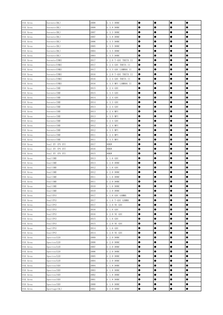| USA Area | Sorento (BL)    | 2008 | G 3.3 DOHC           | $\bullet$ | $\bullet$ | $\bullet$ | $\bullet$ |
|----------|-----------------|------|----------------------|-----------|-----------|-----------|-----------|
| USA Area | Sorento (BL)    | 2008 | G 3.8 DOHC           |           |           | œ         |           |
| USA Area | Sorento (BL)    | 2007 | G 3.3 DOHC           |           |           | ●         | ●         |
| USA Area | Sorento (BL)    | 2007 | G 3.8 DOHC           |           |           | ●         | $\bullet$ |
| USA Area | Sorento (BL)    | 2006 | G 3.5 DOHC           |           |           |           |           |
| USA Area | Sorento (BL)    | 2005 | G 3.5 DOHC           | $\bullet$ | $\bullet$ | $\bullet$ | $\bullet$ |
| USA Area | Sorento (BL)    | 2004 | G 3.5 DOHC           | $\bullet$ | $\bullet$ | $\bullet$ | $\bullet$ |
| USA Area | Sorento (BL)    | 2003 | G 3.5 DOHC           | $\bullet$ | $\bullet$ | $\bullet$ | $\bullet$ |
| USA Area | Sorento (UMA)   | 2017 | G 2.0 T-GDI THETA II | $\bullet$ | $\bullet$ | $\bullet$ |           |
| USA Area | Sorento (UMA)   | 2017 | G 2.4 GDI THETA II   | $\bullet$ | $\bullet$ | 0         |           |
| USA Area | Sorento (UMA)   | 2017 | G 3.3 GDI LAMBDA II  | $\bullet$ | $\bullet$ | 0         | $\bullet$ |
| USA Area | Sorento (UMA)   | 2016 | G 2.0 T-GDI THETA II | $\bullet$ | $\bullet$ | $\bullet$ | $\bullet$ |
| USA Area | Sorento (UMA)   | 2016 | G 2.4 GDI THETA II   | $\bullet$ | $\bullet$ | 0         | $\bullet$ |
| USA Area | Sorento (UMA)   | 2016 | G 3.3 MPI LAMBDA II  | $\bullet$ | $\bullet$ | 0         | $\bullet$ |
| USA Area | Sorento (XM)    | 2015 | $G$ 2.4 $GDI$        | $\bullet$ | $\bullet$ | $\bullet$ | $\bullet$ |
| USA Area | Sorento (XM)    | 2015 | $G$ 3.3 $GDI$        |           |           | ●         | ●         |
| USA Area | Sorento (XM)    | 2014 | $G$ 2.4 $GDI$        | $\bullet$ | $\bullet$ | 0         | $\bullet$ |
| USA Area | Sorento (XM)    | 2014 | $G$ 3.3 $GDI$        | $\bullet$ | $\bullet$ | $\bullet$ | $\bullet$ |
| USA Area | Sorento (XM)    | 2013 | G 2.4 GDI            | $\bullet$ | $\bullet$ | $\bullet$ | $\bullet$ |
| USA Area | Sorento (XM)    | 2013 | G 2.4 MPI            | $\bullet$ | $\bullet$ | $\bullet$ | $\bullet$ |
| USA Area | Sorento (XM)    | 2013 | G 3.5 MPI            | $\bullet$ | $\bullet$ | $\bullet$ | $\bullet$ |
| USA Area | Sorento (XM)    | 2012 | $G$ 2.4 $GDI$        | $\bullet$ | $\bullet$ | $\bullet$ |           |
| USA Area | Sorento (XM)    | 2012 | G 2.4 MPI            | $\bullet$ | $\bullet$ | $\bullet$ |           |
| USA Area | Sorento (XM)    | 2012 | G 3.5 MPI            |           | $\bullet$ | $\bullet$ | $\bullet$ |
| USA Area | Sorento (XM)    | 2011 | G 2.4 MPI            | $\bullet$ | $\bullet$ | $\bullet$ | $\bullet$ |
| USA Area | Sorento (XM)    | 2011 | G 3.5 MPI            | $\bullet$ | $\bullet$ | $\bullet$ |           |
| USA Area | Soul EV (PS EV) | 2017 | 80KW                 |           | $\bullet$ | 0         |           |
| USA Area | Soul EV (PS EV) | 2016 | 80KW                 |           | $\bullet$ | $\bullet$ |           |
| USA Area | Soul EV (PS EV) | 2015 | 80KW                 |           |           | ●         | $\bullet$ |
| USA Area | Soul (AM)       | 2013 | $G_1.6$ GDI          |           |           | 0         |           |
| USA Area | Soul (AM)       | 2013 | G 2.0 DOHC           | $\bullet$ | $\bullet$ |           | $\bullet$ |
| USA Area | Soul (AM)       | 2012 | G 1.6 GDI            | $\bullet$ | $\bullet$ | $\bullet$ | $\bullet$ |
| USA Area | Soul (AM)       | 2012 | G 2.0 DOHC           |           | $\bullet$ | 0         | 0         |
| USA Area | Soul (AM)       | 2011 | G 1.6 DOHC           | $\bullet$ | $\bullet$ | $\bullet$ |           |
| USA Area | Soul (AM)       | 2011 | G 2.0 DOHC           |           |           | 0         |           |
| USA Area | Soul (AM)       | 2010 | G 1.6 DOHC           |           |           | e         | e         |
| USA Area | Soul (AM)       | 2010 | G 2.0 DOHC           | $\bullet$ | $\bullet$ | $\bullet$ | $\bullet$ |
| USA Area | Soul (PS)       | 2017 | G 1.6 GDI GAMMA      | $\bullet$ | $\bullet$ | 0         | $\bullet$ |
| USA Area | Soul (PS)       | 2017 | G 1.6 T-GDI GAMMA    | $\bullet$ | $\bullet$ | $\bullet$ | $\bullet$ |
| USA Area | Soul (PS)       | 2017 | G 2.0 NU GDI         | $\bullet$ | $\bullet$ | $\bullet$ | $\bullet$ |
| USA Area | Soul (PS)       | 2016 | $G_1.6$ GDI          | $\bullet$ | $\bullet$ | $\bullet$ | $\bullet$ |
| USA Area | Soul (PS)       | 2016 | $G$ 2.0 NU $GDI$     | $\bullet$ | $\bullet$ | $\bullet$ | $\bullet$ |
| USA Area | Soul (PS)       | 2015 | $G_1.6$ GDI          | $\bullet$ | $\bullet$ | $\bullet$ | $\bullet$ |
| USA Area | Soul (PS)       | 2015 | G 2.0 NU GDI         | $\bullet$ | $\bullet$ | $\bullet$ | $\bullet$ |
| USA Area | Soul (PS)       | 2014 | G 1.6 GDI            | $\bullet$ | $\bullet$ | $\bullet$ | $\bullet$ |
| USA Area | Soul (PS)       | 2014 | G 2.0 NU GDI         | $\bullet$ | $\bullet$ | 0         |           |
| USA Area | Spectra (LD)    | 2009 | G 2.0 DOHC           |           | $\bullet$ | $\bullet$ | $\bullet$ |
| USA Area | Spectra (LD)    | 2008 | G 2.0 DOHC           | $\bullet$ | $\bullet$ |           | $\bullet$ |
| USA Area | Spectra(LD)     | 2007 | G 2.0 DOHC           |           | $\bullet$ |           | $\bullet$ |
| USA Area | Spectra(LD)     | 2006 | G 2.0 DOHC           | $\bullet$ | $\bullet$ | $\bullet$ | $\bullet$ |
| USA Area | Spectra(LD)     | 2005 | G 2.0 DOHC           | $\bullet$ | $\bullet$ | $\bullet$ | $\bullet$ |
| USA Area | Spectra(LD)     | 2004 | G 2.0 DOHC           | $\bullet$ | $\bullet$ | $\bullet$ | $\bullet$ |
| USA Area | Spectra (SD)    | 2004 | G 1.8 DOHC           | $\bullet$ | $\bullet$ | $\bullet$ | $\bullet$ |
| USA Area | Spectra (SD)    | 2003 | G 1.8 DOHC           | $\bullet$ | $\bullet$ | $\bullet$ | $\bullet$ |
| USA Area | Spectra (SD)    | 2002 | G 1.8 DOHC           | $\bullet$ | $\bullet$ | $\bullet$ | $\bullet$ |
| USA Area | Spectra (SD)    | 2001 | G 1.8 DOHC           | $\bullet$ | $\bullet$ |           | $\bullet$ |
| USA Area | Spectra (SD)    | 2000 | G 1.8 DOHC           | $\bullet$ | $\bullet$ | $\bullet$ | $\bullet$ |
| USA Area | Sportage (AL)   | 2002 | G 2.0 DOHC           | $\bullet$ | $\bullet$ | $\bullet$ | $\bullet$ |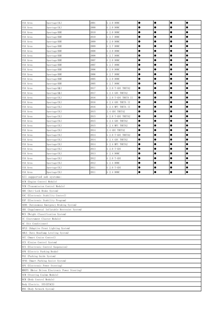| USA Area                                                           | Sportage (AL)                                  | 2001 | G 2.0 DOHC           | $\bullet$ | $\bullet$ | $\bullet$ | $\bullet$ |
|--------------------------------------------------------------------|------------------------------------------------|------|----------------------|-----------|-----------|-----------|-----------|
| USA Area                                                           | Sportage (AL)                                  | 2000 | G 2.0 DOHC           |           | 0         |           |           |
| USA Area                                                           | Sportage (KM)                                  | 2010 | G 2.0 DOHC           |           | $\bullet$ |           |           |
| USA Area                                                           | Sportage (KM)                                  | 2010 | G 2.7 DOHC           | $\bullet$ | $\bullet$ | $\bullet$ | $\bullet$ |
| USA Area                                                           | Sportage (KM)                                  | 2009 | G 2.0 DOHC           | $\bullet$ |           | $\bullet$ | $\bullet$ |
| USA Area                                                           | Sportage (KM)                                  | 2009 | G 2.7 DOHC           | $\bullet$ | $\bullet$ | $\bullet$ | $\bullet$ |
| USA Area                                                           | Sportage (KM)                                  | 2008 | G 2.0 DOHC           | $\bullet$ | $\bullet$ | $\bullet$ | $\bullet$ |
| USA Area                                                           | Sportage (KM)                                  | 2008 | G 2.7 DOHC           | $\bullet$ | $\bullet$ | $\bullet$ | $\bullet$ |
| USA Area                                                           | Sportage (KM)                                  | 2007 | G 2.0 DOHC           | $\bullet$ | $\bullet$ | $\bullet$ | $\bullet$ |
| USA Area                                                           | Sportage (KM)                                  | 2007 | G 2.7 DOHC           | $\bullet$ | $\bullet$ | $\bullet$ | $\bullet$ |
| USA Area                                                           | Sportage (KM)                                  | 2006 | G 2.0 DOHC           | $\bullet$ |           | $\bullet$ |           |
| USA Area                                                           | Sportage (KM)                                  | 2006 | G 2.7 DOHC           | $\bullet$ | $\bullet$ | $\bullet$ | $\bullet$ |
| USA Area                                                           | Sportage (KM)                                  | 2005 | G 2.0 DOHC           | $\bullet$ | $\bullet$ | $\bullet$ | $\bullet$ |
| USA Area                                                           | Sportage(KM)                                   | 2005 | G 2.7 DOHC           | $\bullet$ | $\bullet$ | $\bullet$ | $\bullet$ |
| USA Area                                                           | Sportage (QL)                                  | 2017 | G 2.0 T-GDI THETA2   | $\bullet$ | $\bullet$ | $\bullet$ |           |
| USA Area                                                           | Sportage (QL)                                  | 2017 | G 2.4 GDI THETA2     | $\bullet$ | $\bullet$ | $\bullet$ | $\bullet$ |
| USA Area                                                           | Sportage (SL)                                  | 2016 | G 2.0 T-GDI THETA II | $\bullet$ | $\bullet$ | $\bullet$ | $\bullet$ |
| USA Area                                                           |                                                | 2016 | G 2.4 GDI THETA II   | $\bullet$ | $\bullet$ | $\bullet$ | $\bullet$ |
| USA Area                                                           | Sportage (SL)                                  | 2016 |                      | $\bullet$ | $\bullet$ | $\bullet$ | $\bullet$ |
|                                                                    | Sportage (SL)                                  |      | G 2.4 MPI THETA II   | $\bullet$ | $\bullet$ | $\bullet$ | $\bullet$ |
| USA Area                                                           | Sportage (SL)                                  | 2015 | 2.4 GDI THETA2       |           |           |           |           |
| USA Area                                                           | Sportage (SL)                                  | 2015 | G 2.0 T-GDI THETA2   | $\bullet$ | $\bullet$ | $\bullet$ | $\bullet$ |
| USA Area                                                           | Sportage (SL)                                  | 2015 | G 2.4 GDI THETA2     | $\bullet$ | $\bullet$ | $\bullet$ | $\bullet$ |
| USA Area                                                           | Sportage (SL)                                  | 2015 | G 2.4 MPI THETA2     | $\bullet$ | $\bullet$ | $\bullet$ | $\bullet$ |
| USA Area                                                           | Sportage (SL)                                  | 2014 | 2.4 GDI THETA2       | $\bullet$ |           | $\bullet$ | $\bullet$ |
| USA Area                                                           | Sportage (SL)                                  | 2014 | G 2.0 T-GDI THETA2   | $\bullet$ | $\bullet$ | $\bullet$ | $\bullet$ |
| USA Area                                                           | Sportage (SL)                                  | 2014 | G 2.4 GDI THETA2     | $\bullet$ | $\bullet$ | $\bullet$ | $\bullet$ |
| USA Area                                                           | Sportage (SL)                                  | 2014 | G 2.4 MPI THETA2     | $\bullet$ |           | $\bullet$ |           |
| USA Area                                                           | Sportage (SL)                                  | 2013 | G 2.0 T-GDI          | $\bullet$ | $\bullet$ | $\bullet$ | $\bullet$ |
| USA Area                                                           | Sportage (SL)                                  | 2013 | G 2.4 DOHC           | $\bullet$ |           | $\bullet$ | $\bullet$ |
| USA Area                                                           | Sportage (SL)                                  | 2012 | G 2.0 T-GDI          |           |           | $\bullet$ | $\bullet$ |
| USA Area                                                           | Sportage (SL)                                  | 2012 | G 2.4 DOHC           | $\bullet$ | $\bullet$ | $\bullet$ | $\bullet$ |
| USA Area                                                           | Sportage (SL)                                  | 2011 | G 2.0 T-GDI          | $\bullet$ | $\bullet$ | $\bullet$ | $\bullet$ |
| USA Area                                                           | Sportage (SL)                                  | 2011 | G 2.4 DOHC           | $\bullet$ | $\bullet$ | $\bullet$ | $\bullet$ |
| All supported sub systems:                                         |                                                |      |                      |           |           |           |           |
| ECM (Engine Control Module)                                        |                                                |      |                      |           |           |           |           |
| TCM (Transmission Control Module)                                  |                                                |      |                      |           |           |           |           |
| ABS (Anti-Lock Brake System)                                       |                                                |      |                      |           |           |           |           |
| ESC (Electronic Stability Control)                                 |                                                |      |                      |           |           |           |           |
| ESP (Electronic Stability Program)                                 |                                                |      |                      |           |           |           |           |
|                                                                    | AEBS (Autonomous Emergency Braking System)     |      |                      |           |           |           |           |
|                                                                    | SRS (Supplemental Inflatable Restraint System) |      |                      |           |           |           |           |
| WCS (Weight Classification System)                                 |                                                |      |                      |           |           |           |           |
| IC (Instrument Cluster Module)                                     |                                                |      |                      |           |           |           |           |
| AC (Air Conditioner)                                               |                                                |      |                      |           |           |           |           |
| AFLS (Adaptive Front Lighting System)                              |                                                |      |                      |           |           |           |           |
|                                                                    |                                                |      |                      |           |           |           |           |
| AHLS (Auto Headlamp Leveling System)<br>SCC (Smart Cruise Control) |                                                |      |                      |           |           |           |           |
| CCS (Cruise Control System)                                        |                                                |      |                      |           |           |           |           |
|                                                                    |                                                |      |                      |           |           |           |           |
| ECS (Electronic Control Suspension)                                |                                                |      |                      |           |           |           |           |
| EPB (Electric Parking Brake)                                       |                                                |      |                      |           |           |           |           |
|                                                                    | PGS (Parking Guide System)                     |      |                      |           |           |           |           |
| SPAS (Smart Parking Assist System)                                 |                                                |      |                      |           |           |           |           |
|                                                                    | EPS (Electronic Power Steering)                |      |                      |           |           |           |           |
|                                                                    | MDEPS (Motor Driven Electronic Power Steering) |      |                      |           |           |           |           |
| SCM (Steering Coulmn Module)                                       |                                                |      |                      |           |           |           |           |
| BCM (Body Control Module)                                          |                                                |      |                      |           |           |           |           |
| Body Electric. SYS (ETACS)                                         |                                                |      |                      |           |           |           |           |
| BNS (Body Network System)                                          |                                                |      |                      |           |           |           |           |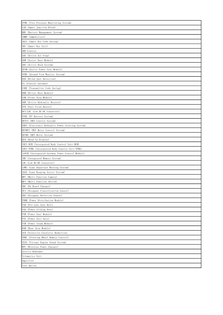| TPMS (Tire Pressure Monitoring System)            |
|---------------------------------------------------|
| SJB (Smart Junction Block)                        |
| BMS (Battery Management System)                   |
| IMMO (Immobilizer)                                |
| SKCS (Smart Key Code Saving)                      |
| SKU (Smart Key Unit)                              |
| 4WD Control                                       |
| AAF (Active Air Flap)                             |
| ADM (Assist Door Module)                          |
| AHS (Active Hood System)                          |
| APSM (Assist Power Seat Module)                   |
| AVMS (Around View Monitor System)                 |
| BSD (Blind Spot Detection)                        |
| CG (Central Gateway)                              |
| CODE (Transmitter Code Saving)                    |
| DDM (Driver Door Module)                          |
| FAM (Front Area Module)                           |
| AHB (Active Hydraulic Booster)                    |
| FFH (Fuel Fired Heater)                           |
| HCU/LDC (Low DC-DC Converter)                     |
| EVBS (EV Battery System)                          |
| HEVCS (HEV Control System)                        |
| EHPS (Electronic Hydraulic Power Steering System) |
| HEVMCS (HEV Motor Control System)                 |
| HEVMS (HEV Motor System)                          |
| HUD (Head Up Display)                             |
| IBCU-BCM (Intergrated Body Control Unit-BCM)      |
| IBCU-TPMS (Intergrated Body Control Unit-TPMS)    |
| IGPCM (Intergrated Gateway Power Control Module)  |
| IMS (Integrated Memory System)                    |
| LDC (Low DC/DC Converter)                         |
| LDWS (Lane Departure Warning System)              |
| LKAS (Lane Keeping Assist System)                 |
| MFC (Multi Function Camera)                       |
| (Multi Function Switch)                           |
| MFS                                               |
| OBC (On Board Charger)                            |
| OCS (Occupant Classification Sonsor)              |
| ODS (Occupant Detection Sensor)                   |
| PDBM (Power Distribution Module)                  |
| PSB (Pre-safe Seat Belt)                          |
| PSD (Power Sliding Door)                          |
| PSM (Power Seat Module)                           |
| PTG (Power Tail Gate)                             |
| PTM (Power Trunk Module)                          |
| RAM (Rear Area Module)                            |
| SCR (Selective Catalytic Reduction)               |
| SWRC (Steering Wheel Remote Control)              |
| VESS (Virtual Engine Sound System)                |
| WPC (Wireless Power Charger)                      |
| Service Reminder                                  |
| Telematics Unit                                   |
| Amplifier                                         |
| User Option                                       |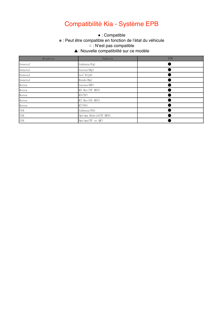# Compatibilité Kia - Système EPB

#### ● This function is supported. ※ : Peut être compatible en fonction de l'état du véhicule ※ This function may be supported, which depends on the actual condition of the vehicle. ○ : N'est pas compatible  $\mathcal{L}$  $\bullet$  : Compatible

#### ▲: Nouvelle compatibilité sur ce modèle

| Disdrict                        | Vehicle                | <b>EPB</b> |
|---------------------------------|------------------------|------------|
| General                         | $\text{Cadenza}(Vg)$   |            |
| General                         | Carens (Rp)            |            |
| General                         | Cee'D(Jd)              |            |
| General                         | Rondo (Rp)             |            |
| Korea                           | Carens (RP)            |            |
| Korea                           | K5 Hev (TF HEV)        |            |
| Korea                           | K5(TF)                 |            |
| Korea                           | K7 Hev (VG HEV)        |            |
| Korea                           | K7(VG)                 |            |
| <b>USA</b>                      | Cadenza (VG)           |            |
| <b>USA</b>                      | Optima Hybrid (TF HEV) |            |
| <b>USA</b><br>Optima (TF or QF) |                        |            |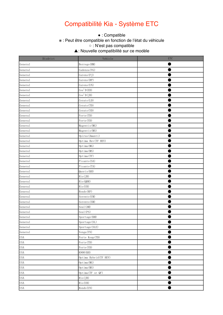## Compatibilité Kia - Système ETC

#### ● This function is supported. ※ : Peut être compatible en fonction de l'état du véhicule  $\bullet$  : Compatible

※ This function may be supported, which depends on the actual condition of the vehicle. ○ : N'est pas compatible

▲: Nouvelle compatibilité sur ce modèle  $\mathcal{L}$ 

| Disdrict   | Vehicle                | ETC |
|------------|------------------------|-----|
| General    | Borrego (HM)           |     |
| General    | Cadenza (VG)           |     |
| General    | Carens (FJ)            |     |
| General    | Carens (RP)            |     |
| General    | Carens (UN)            |     |
| General    | Cee'D(ED)              |     |
| General    | Cee'D(JD)              |     |
| General    | Cerato (LD)            |     |
| General    | Cerato (TD)            |     |
| General    | Cerato (YD)            |     |
| General    | Forte (TD)             |     |
| General    | Forte (YD)             |     |
| General    | Magentis (MG)          |     |
| General    | Magentis (MS)          |     |
| General    | Opirus (Amanti)        |     |
| General    | Optima Hev (TF HEV)    |     |
| General    | Optima (MG)            |     |
| General    | Optima (MS)            |     |
| General    | Optima (TF)            |     |
| General    | Picanto (SA)           |     |
| General    | Picanto (TA)           |     |
| General    | Quoris (KH)            |     |
| General    | Rio(JB)                |     |
| General    | Rio (QBR)              |     |
| General    | Rio (UB)               |     |
| General    | Rondo (RP)             |     |
| General    | Sorento (UM)           |     |
| General    | Sorento (XM)           |     |
| General    | Soul (AM)              |     |
| General    | Soul (PS)              |     |
| General    | Sportage (KM)          |     |
| General    | Sportage (SL)          |     |
| General    | Sportage (SLE)         |     |
| General    | Venga (YN)             |     |
| <b>USA</b> | Forte Koup (TD)        |     |
| <b>USA</b> | Forte (TD)             |     |
| <b>USA</b> | Forte (YD)             |     |
| <b>USA</b> | K900 (KH)              |     |
| <b>USA</b> | Optima Hybrid (TF HEV) |     |
| <b>USA</b> | Optima(MG)             |     |
| <b>USA</b> | Optima (MS)            |     |
| <b>USA</b> | Optima (TF or QF)      |     |
| <b>USA</b> | Rio(JB)                |     |
| <b>USA</b> | Rio (UB)               |     |
| <b>USA</b> | Rondo (UN)             |     |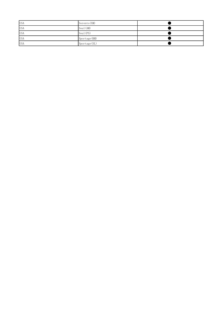| <b>USA</b> | Sorento (XM)  |  |
|------------|---------------|--|
| <b>USA</b> | Soul (AM)     |  |
| <b>USA</b> | Soul(PS)      |  |
| <b>USA</b> | Sportage (KM) |  |
| <b>USA</b> | Sportage (SL) |  |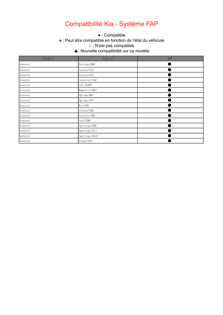# Compatibilité Kia - Système FAP

#### ● This function is supported. ※ : Peut être compatible en fonction de l'état du véhicule ※ This function may be supported, which depends on the actual condition of the vehicle. ○ : N'est pas compatible  $\mathcal{L}$  $\bullet$  : Compatible

#### ▲: Nouvelle compatibilité sur ce modèle

| Disdrict | Vehicle        | <b>DPF</b> |
|----------|----------------|------------|
| General  | Borrego (HM)   |            |
| General  | Carens (FJ)    |            |
| General  | Carens (UN)    |            |
| General  | Carnival (VQ)  |            |
| General  | Cee'D(ED)      |            |
| General  | Magentis (MG)  |            |
| General  | Optima (MG)    |            |
| General  | Optima (TF)    |            |
| General  | Rio(UB)        |            |
| General  | Sedona (VQ)    |            |
| General  | Sorento (XM)   |            |
| General  | Soul (AM)      |            |
| General  | Sportage (KM)  |            |
| General  | Sportage (SL)  |            |
| General  | Sportage (SLE) |            |
| General  | Venga(YN)      |            |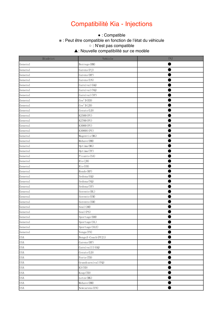### Compatibilité Kia - Injections

#### ● This function is supported. ※ : Peut être compatible en fonction de l'état du véhicule ※ This function may be supported, which depends on the actual condition of the vehicle. ○ : N'est pas compatible  $\mathcal{L}$  $\bullet$  : Compatible

▲: Nouvelle compatibilité sur ce modèle

| Disdrict   | Vehicle             | INJ |
|------------|---------------------|-----|
| General    | Borrego (HM)        |     |
| General    | Carens (FJ)         |     |
| General    | Carens (RP)         |     |
| General    | Carens (UN)         |     |
| General    | Carnival (GQ)       |     |
| General    | Carnival (VQ)       |     |
| General    | Carnival (YP)       |     |
| General    | Cee'D(ED)           |     |
| General    | Cee'D(JD)           |     |
| General    | Cerato (LD)         |     |
| General    | K2500 (PU)          |     |
| General    | K2700 (PU)          |     |
| General    | K3000 (PU)          |     |
| General    | K3000S (PU)         |     |
| General    | Magentis (MG)       |     |
| General    | Mohave (HM)         |     |
| General    | Optima (MG)         |     |
| General    | Optima (TF)         |     |
| General    | Picanto (SA)        |     |
| General    | Rio(JB)             |     |
| General    | Rio (UB)            |     |
| General    | Rondo (RP)          |     |
| General    | Sedona (GQ)         |     |
| General    | Sedona (VQ)         |     |
| General    | Sedona (YP)         |     |
| General    | Sorento (BL)        |     |
| General    | Sorento (UM)        |     |
| General    | Sorento (XM)        |     |
| General    | Soul (AM)           |     |
| General    | Soul (PS)           |     |
| General    | Sportage (KM)       |     |
| General    | Sportage (SL)       |     |
| General    | Sportage (SLE)      |     |
| General    | Venga(YN)           |     |
| <b>USA</b> | Bongo3-Coach (PU21) |     |
| <b>USA</b> | Carens (RP)         |     |
| <b>USA</b> | CarnivalII(GQ)      |     |
| <b>USA</b> | Cerato (LD)         |     |
| <b>USA</b> | Forte (TD)          |     |
| <b>USA</b> | Grandcarnival (VQ)  |     |
| <b>USA</b> | K3 (YD)             |     |
| <b>USA</b> | Koup (TD)           |     |
| <b>USA</b> | Lotze (MG)          |     |
| <b>USA</b> | Mohave (HM)         |     |
| <b>USA</b> | Newcarens (UN)      |     |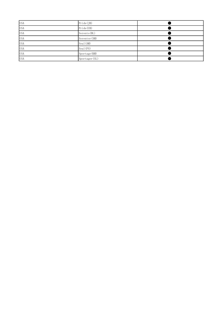| <b>USA</b> | Pride(JB)      |  |
|------------|----------------|--|
| <b>USA</b> | Pride (UB)     |  |
| <b>USA</b> | Sorento (BL)   |  |
| <b>USA</b> | Sorentor (XM)  |  |
| <b>USA</b> | Soul (AM)      |  |
| <b>USA</b> | Soul (PS)      |  |
| <b>USA</b> | Sportage (KM)  |  |
| <b>USA</b> | Sportager (SL) |  |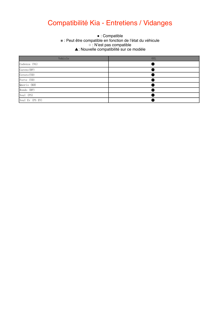# Compatibilité Kia - Entretiens / Vidanges

#### • : Oompatible en fonction de l'état du véhicule ※ This function may be supported, which depends on the actual condition of the vehicle. ○ : N'est pas compatible  $\Delta$  $\bullet$  : Compatible ▲: Nouvelle compatibilité sur ce modèle

| Vehicle         | 0IL |
|-----------------|-----|
| Cadenza (VG)    |     |
| Carens (RP)     |     |
| Cerato (YD)     |     |
| Forte (YD)      |     |
| Quoris (KH)     |     |
| Rondo (RP)      |     |
| Soul (PS)       |     |
| Soul Ev (PS EV) |     |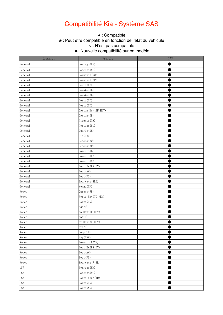## Compatibilité Kia - Système SAS

#### ● This function is supported. \* : Peut être compatible en fonction de l'état du véhicule.  $\bullet$  : Compatible ○ : N'est pas compatible

▲: Nouvelle compatibilité sur ce modèle  $\mathcal{L}$ 

| Disdrict   | Vehicle             | SAS |
|------------|---------------------|-----|
| General    | Borrego (HM)        |     |
| General    | Cadenza (VG)        |     |
| General    | Carnival (VQ)       |     |
| General    | Carnival (YP)       |     |
| General    | Cee'D(ED)           |     |
| General    | Cerato (TD)         |     |
| General    | Cerato (YD)         |     |
| General    | Forte (TD)          |     |
| General    | Forte (YD)          |     |
| General    | Optima Hev (TF HEV) |     |
| General    | Optima (TF)         |     |
| General    | Picanto (TA)        |     |
| General    | Portage (SL)        |     |
| General    | Quoris (KH)         |     |
| General    | Rio (UB)            |     |
| General    | Sedona (VQ)         |     |
| General    | Sedona (YP)         |     |
| General    | Sorento (BL)        |     |
| General    | Sorento (UM)        |     |
| General    | Sorento (XM)        |     |
| General    | Soul Ev (PS EV)     |     |
| General    | Soul (AM)           |     |
| General    | Soul (PS)           |     |
| General    | Sportage (SLE)      |     |
| General    | Venga(YN)           |     |
| Korea      | Carens (RP)         |     |
| Korea      | Forte Hev (TD HEV)  |     |
| Korea      | Forte (TD)          |     |
| Korea      | K3 (YD)             |     |
| Korea      | K5 Hev (TF HEV)     |     |
| Korea      | K5 (TF)             |     |
| Korea      | K7 Hev (VG HEV)     |     |
| Korea      | K7 (VG)             |     |
| Korea      | Koup (TD)           |     |
| Korea      | Ray (TAM)           |     |
| Korea      | Sorento R(XM)       |     |
| Korea      | Soul Ev (PS EV)     |     |
| Korea      | Soul (AM)           |     |
| Korea      | Soul (PS)           |     |
| Korea      | Sportage R(SL       |     |
| <b>USA</b> | Borrego (HM)        |     |
| <b>USA</b> | Cadenza (VG)        | ٠   |
| <b>USA</b> | Forte Koup (TD)     |     |
| <b>USA</b> | Forte (TD)          |     |
| <b>USA</b> | Forte (YD)          |     |